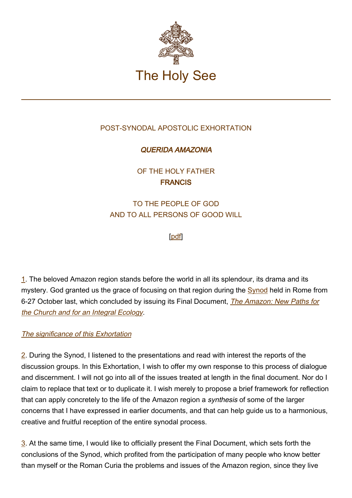

# POST-SYNODAL APOSTOLIC EXHORTATION

# QUERIDA AMAZONIA

OF THE HOLY FATHER FRANCIS

TO THE PEOPLE OF GOD AND TO ALL PERSONS OF GOOD WILL

**[\[pdf\]](http://w2.vatican.va/content/dam/francesco/pdf/apost_exhortations/documents/papa-francesco_esortazione-ap_20200202_querida-amazonia_en.pdf)** 

1. The beloved Amazon region stands before the world in all its splendour, its drama and its mystery. God granted us the grace of focusing on that region during the [Synod](http://www.sinodoamazonico.va/content/sinodoamazonico/en.html) held in Rome from 6-27 October last, which concluded by issuing its Final Document, *[The Amazon: New Paths for](http://www.vatican.va/roman_curia/synod/documents/rc_synod_doc_20191026_sinodo-amazzonia_en.html)* [the Church and for an Integral Ecology](http://www.vatican.va/roman_curia/synod/documents/rc_synod_doc_20191026_sinodo-amazzonia_en.html).

## The significance of this Exhortation

2. During the Synod, I listened to the presentations and read with interest the reports of the discussion groups. In this Exhortation, I wish to offer my own response to this process of dialogue and discernment. I will not go into all of the issues treated at length in the final document. Nor do I claim to replace that text or to duplicate it. I wish merely to propose a brief framework for reflection that can apply concretely to the life of the Amazon region a synthesis of some of the larger concerns that I have expressed in earlier documents, and that can help guide us to a harmonious, creative and fruitful reception of the entire synodal process.

3. At the same time, I would like to officially present the Final Document, which sets forth the conclusions of the Synod, which profited from the participation of many people who know better than myself or the Roman Curia the problems and issues of the Amazon region, since they live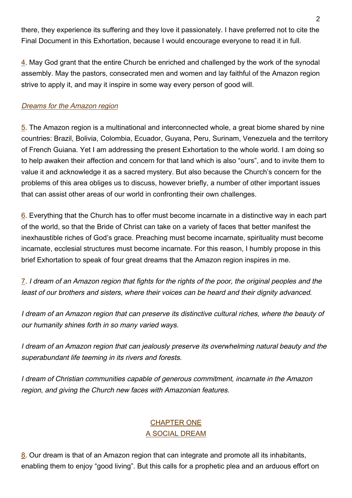there, they experience its suffering and they love it passionately. I have preferred not to cite the Final Document in this Exhortation, because I would encourage everyone to read it in full.

4. May God grant that the entire Church be enriched and challenged by the work of the synodal assembly. May the pastors, consecrated men and women and lay faithful of the Amazon region strive to apply it, and may it inspire in some way every person of good will.

## Dreams for the Amazon region

5. The Amazon region is a multinational and interconnected whole, a great biome shared by nine countries: Brazil, Bolivia, Colombia, Ecuador, Guyana, Peru, Surinam, Venezuela and the territory of French Guiana. Yet I am addressing the present Exhortation to the whole world. I am doing so to help awaken their affection and concern for that land which is also "ours", and to invite them to value it and acknowledge it as a sacred mystery. But also because the Church's concern for the problems of this area obliges us to discuss, however briefly, a number of other important issues that can assist other areas of our world in confronting their own challenges.

 $6.$  Everything that the Church has to offer must become incarnate in a distinctive way in each part of the world, so that the Bride of Christ can take on a variety of faces that better manifest the inexhaustible riches of God's grace. Preaching must become incarnate, spirituality must become incarnate, ecclesial structures must become incarnate. For this reason, I humbly propose in this brief Exhortation to speak of four great dreams that the Amazon region inspires in me.

7. I dream of an Amazon region that fights for the rights of the poor, the original peoples and the least of our brothers and sisters, where their voices can be heard and their dignity advanced.

I dream of an Amazon region that can preserve its distinctive cultural riches, where the beauty of our humanity shines forth in so many varied ways.

I dream of an Amazon region that can jealously preserve its overwhelming natural beauty and the superabundant life teeming in its rivers and forests.

I dream of Christian communities capable of generous commitment, incarnate in the Amazon region, and giving the Church new faces with Amazonian features.

# CHAPTER ONE A SOCIAL DREAM

8. Our dream is that of an Amazon region that can integrate and promote all its inhabitants, enabling them to enjoy "good living". But this calls for a prophetic plea and an arduous effort on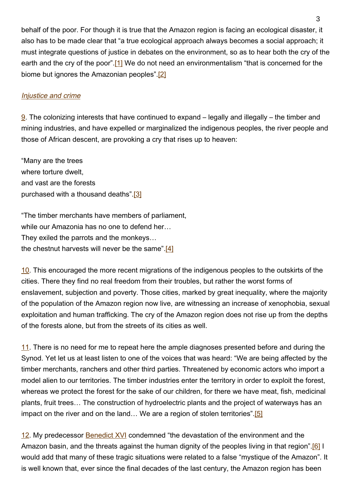behalf of the poor. For though it is true that the Amazon region is facing an ecological disaster, it also has to be made clear that "a true ecological approach always becomes a social approach; it must integrate questions of justice in debates on the environment, so as to hear both the cry of the earth and the cry of the poor".<sup>[1]</sup> We do not need an environmentalism "that is concerned for the biome but ignores the Amazonian peoples".[2]

#### Injustice and crime

 $9.$  The colonizing interests that have continued to expand – legally and illegally – the timber and mining industries, and have expelled or marginalized the indigenous peoples, the river people and those of African descent, are provoking a cry that rises up to heaven:

"Many are the trees where torture dwelt, and vast are the forests purchased with a thousand deaths".[3]

"The timber merchants have members of parliament, while our Amazonia has no one to defend her… They exiled the parrots and the monkeys… the chestnut harvests will never be the same".[4]

10. This encouraged the more recent migrations of the indigenous peoples to the outskirts of the cities. There they find no real freedom from their troubles, but rather the worst forms of enslavement, subjection and poverty. Those cities, marked by great inequality, where the majority of the population of the Amazon region now live, are witnessing an increase of xenophobia, sexual exploitation and human trafficking. The cry of the Amazon region does not rise up from the depths of the forests alone, but from the streets of its cities as well.

11. There is no need for me to repeat here the ample diagnoses presented before and during the Synod. Yet let us at least listen to one of the voices that was heard: "We are being affected by the timber merchants, ranchers and other third parties. Threatened by economic actors who import a model alien to our territories. The timber industries enter the territory in order to exploit the forest, whereas we protect the forest for the sake of our children, for there we have meat, fish, medicinal plants, fruit trees… The construction of hydroelectric plants and the project of waterways has an impact on the river and on the land… We are a region of stolen territories".[5]

12. My predecessor **[Benedict XVI](http://www.vatican.va/content/benedict-xvi/en.html)** condemned "the devastation of the environment and the Amazon basin, and the threats against the human dignity of the peoples living in that region".[6] I would add that many of these tragic situations were related to a false "mystique of the Amazon". It is well known that, ever since the final decades of the last century, the Amazon region has been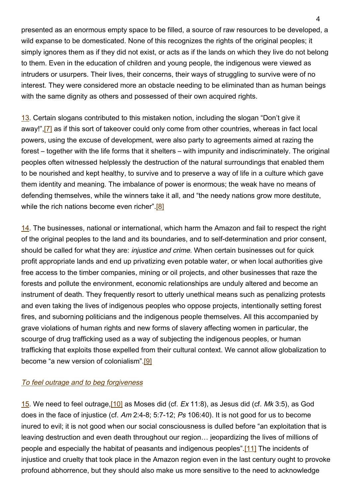presented as an enormous empty space to be filled, a source of raw resources to be developed, a wild expanse to be domesticated. None of this recognizes the rights of the original peoples; it simply ignores them as if they did not exist, or acts as if the lands on which they live do not belong to them. Even in the education of children and young people, the indigenous were viewed as intruders or usurpers. Their lives, their concerns, their ways of struggling to survive were of no interest. They were considered more an obstacle needing to be eliminated than as human beings with the same dignity as others and possessed of their own acquired rights.

13. Certain slogans contributed to this mistaken notion, including the slogan "Don't give it away!",[7] as if this sort of takeover could only come from other countries, whereas in fact local powers, using the excuse of development, were also party to agreements aimed at razing the forest – together with the life forms that it shelters – with impunity and indiscriminately. The original peoples often witnessed helplessly the destruction of the natural surroundings that enabled them to be nourished and kept healthy, to survive and to preserve a way of life in a culture which gave them identity and meaning. The imbalance of power is enormous; the weak have no means of defending themselves, while the winners take it all, and "the needy nations grow more destitute, while the rich nations become even richer".<sup>[8]</sup>

14. The businesses, national or international, which harm the Amazon and fail to respect the right of the original peoples to the land and its boundaries, and to self-determination and prior consent, should be called for what they are: *injustice and crime*. When certain businesses out for quick profit appropriate lands and end up privatizing even potable water, or when local authorities give free access to the timber companies, mining or oil projects, and other businesses that raze the forests and pollute the environment, economic relationships are unduly altered and become an instrument of death. They frequently resort to utterly unethical means such as penalizing protests and even taking the lives of indigenous peoples who oppose projects, intentionally setting forest fires, and suborning politicians and the indigenous people themselves. All this accompanied by grave violations of human rights and new forms of slavery affecting women in particular, the scourge of drug trafficking used as a way of subjecting the indigenous peoples, or human trafficking that exploits those expelled from their cultural context. We cannot allow globalization to become "a new version of colonialism".[9]

## To feel outrage and to beg forgiveness

15. We need to feel outrage,[10] as Moses did (cf. Ex 11:8), as Jesus did (cf. Mk 3:5), as God does in the face of injustice (cf. Am 2:4-8; 5:7-12; Ps 106:40). It is not good for us to become inured to evil; it is not good when our social consciousness is dulled before "an exploitation that is leaving destruction and even death throughout our region… jeopardizing the lives of millions of people and especially the habitat of peasants and indigenous peoples".[11] The incidents of injustice and cruelty that took place in the Amazon region even in the last century ought to provoke profound abhorrence, but they should also make us more sensitive to the need to acknowledge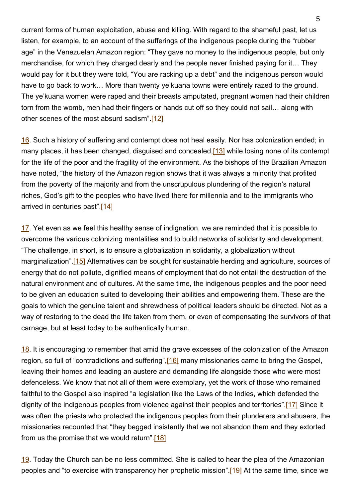current forms of human exploitation, abuse and killing. With regard to the shameful past, let us listen, for example, to an account of the sufferings of the indigenous people during the "rubber age" in the Venezuelan Amazon region: "They gave no money to the indigenous people, but only merchandise, for which they charged dearly and the people never finished paying for it… They would pay for it but they were told, "You are racking up a debt" and the indigenous person would have to go back to work… More than twenty ye'kuana towns were entirely razed to the ground. The ye'kuana women were raped and their breasts amputated, pregnant women had their children torn from the womb, men had their fingers or hands cut off so they could not sail… along with other scenes of the most absurd sadism".[12]

16. Such a history of suffering and contempt does not heal easily. Nor has colonization ended; in many places, it has been changed, disguised and concealed, [13] while losing none of its contempt for the life of the poor and the fragility of the environment. As the bishops of the Brazilian Amazon have noted, "the history of the Amazon region shows that it was always a minority that profited from the poverty of the majority and from the unscrupulous plundering of the region's natural riches, God's gift to the peoples who have lived there for millennia and to the immigrants who arrived in centuries past".[14]

17. Yet even as we feel this healthy sense of indignation, we are reminded that it is possible to overcome the various colonizing mentalities and to build networks of solidarity and development. "The challenge, in short, is to ensure a globalization in solidarity, a globalization without marginalization".<sup>[15]</sup> Alternatives can be sought for sustainable herding and agriculture, sources of energy that do not pollute, dignified means of employment that do not entail the destruction of the natural environment and of cultures. At the same time, the indigenous peoples and the poor need to be given an education suited to developing their abilities and empowering them. These are the goals to which the genuine talent and shrewdness of political leaders should be directed. Not as a way of restoring to the dead the life taken from them, or even of compensating the survivors of that carnage, but at least today to be authentically human.

18. It is encouraging to remember that amid the grave excesses of the colonization of the Amazon region, so full of "contradictions and suffering",[16] many missionaries came to bring the Gospel, leaving their homes and leading an austere and demanding life alongside those who were most defenceless. We know that not all of them were exemplary, yet the work of those who remained faithful to the Gospel also inspired "a legislation like the Laws of the Indies, which defended the dignity of the indigenous peoples from violence against their peoples and territories".[17] Since it was often the priests who protected the indigenous peoples from their plunderers and abusers, the missionaries recounted that "they begged insistently that we not abandon them and they extorted from us the promise that we would return".[18]

 $19$ . Today the Church can be no less committed. She is called to hear the plea of the Amazonian peoples and "to exercise with transparency her prophetic mission".[19] At the same time, since we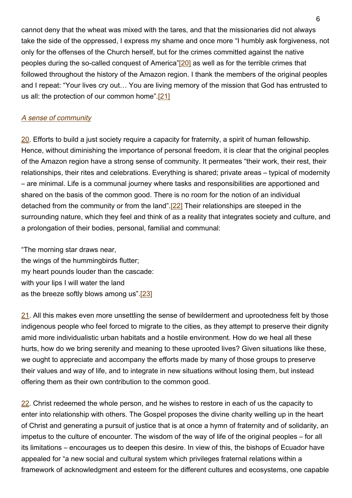cannot deny that the wheat was mixed with the tares, and that the missionaries did not always take the side of the oppressed, I express my shame and once more "I humbly ask forgiveness, not only for the offenses of the Church herself, but for the crimes committed against the native peoples during the so-called conquest of America"[20] as well as for the terrible crimes that followed throughout the history of the Amazon region. I thank the members of the original peoples and I repeat: "Your lives cry out… You are living memory of the mission that God has entrusted to us all: the protection of our common home".[21]

### A sense of community

20. Efforts to build a just society require a capacity for fraternity, a spirit of human fellowship. Hence, without diminishing the importance of personal freedom, it is clear that the original peoples of the Amazon region have a strong sense of community. It permeates "their work, their rest, their relationships, their rites and celebrations. Everything is shared; private areas – typical of modernity – are minimal. Life is a communal journey where tasks and responsibilities are apportioned and shared on the basis of the common good. There is no room for the notion of an individual detached from the community or from the land".[22] Their relationships are steeped in the surrounding nature, which they feel and think of as a reality that integrates society and culture, and a prolongation of their bodies, personal, familial and communal:

"The morning star draws near, the wings of the hummingbirds flutter; my heart pounds louder than the cascade: with your lips I will water the land as the breeze softly blows among us".[23]

21. All this makes even more unsettling the sense of bewilderment and uprootedness felt by those indigenous people who feel forced to migrate to the cities, as they attempt to preserve their dignity amid more individualistic urban habitats and a hostile environment. How do we heal all these hurts, how do we bring serenity and meaning to these uprooted lives? Given situations like these, we ought to appreciate and accompany the efforts made by many of those groups to preserve their values and way of life, and to integrate in new situations without losing them, but instead offering them as their own contribution to the common good.

22. Christ redeemed the whole person, and he wishes to restore in each of us the capacity to enter into relationship with others. The Gospel proposes the divine charity welling up in the heart of Christ and generating a pursuit of justice that is at once a hymn of fraternity and of solidarity, an impetus to the culture of encounter. The wisdom of the way of life of the original peoples – for all its limitations – encourages us to deepen this desire. In view of this, the bishops of Ecuador have appealed for "a new social and cultural system which privileges fraternal relations within a framework of acknowledgment and esteem for the different cultures and ecosystems, one capable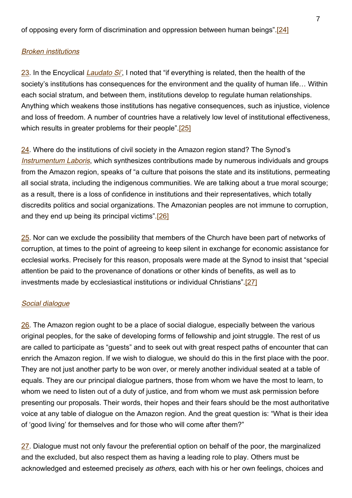of opposing every form of discrimination and oppression between human beings".[24]

### Broken institutions

 $23$ . In the Encyclical *[Laudato Si'](http://www.vatican.va/content/francesco/en/encyclicals/documents/papa-francesco_20150524_enciclica-laudato-si.html)*, I noted that "if everything is related, then the health of the society's institutions has consequences for the environment and the quality of human life… Within each social stratum, and between them, institutions develop to regulate human relationships. Anything which weakens those institutions has negative consequences, such as injustice, violence and loss of freedom. A number of countries have a relatively low level of institutional effectiveness, which results in greater problems for their people".<sup>[25]</sup>

24. Where do the institutions of civil society in the Amazon region stand? The Synod's [Instrumentum Laboris](http://www.sinodoamazonico.va/content/sinodoamazonico/en/documents/pan-amazon-synod--the-working-document-for-the-synod-of-bishops.html), which synthesizes contributions made by numerous individuals and groups from the Amazon region, speaks of "a culture that poisons the state and its institutions, permeating all social strata, including the indigenous communities. We are talking about a true moral scourge; as a result, there is a loss of confidence in institutions and their representatives, which totally discredits politics and social organizations. The Amazonian peoples are not immune to corruption, and they end up being its principal victims".[26]

25. Nor can we exclude the possibility that members of the Church have been part of networks of corruption, at times to the point of agreeing to keep silent in exchange for economic assistance for ecclesial works. Precisely for this reason, proposals were made at the Synod to insist that "special attention be paid to the provenance of donations or other kinds of benefits, as well as to investments made by ecclesiastical institutions or individual Christians".[27]

#### Social dialogue

26. The Amazon region ought to be a place of social dialogue, especially between the various original peoples, for the sake of developing forms of fellowship and joint struggle. The rest of us are called to participate as "guests" and to seek out with great respect paths of encounter that can enrich the Amazon region. If we wish to dialogue, we should do this in the first place with the poor. They are not just another party to be won over, or merely another individual seated at a table of equals. They are our principal dialogue partners, those from whom we have the most to learn, to whom we need to listen out of a duty of justice, and from whom we must ask permission before presenting our proposals. Their words, their hopes and their fears should be the most authoritative voice at any table of dialogue on the Amazon region. And the great question is: "What is their idea of 'good living' for themselves and for those who will come after them?"

27. Dialogue must not only favour the preferential option on behalf of the poor, the marginalized and the excluded, but also respect them as having a leading role to play. Others must be acknowledged and esteemed precisely as others, each with his or her own feelings, choices and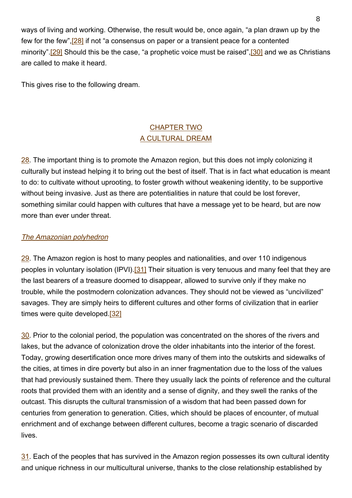ways of living and working. Otherwise, the result would be, once again, "a plan drawn up by the few for the few",[28] if not "a consensus on paper or a transient peace for a contented minority".<sup>[29]</sup> Should this be the case, "a prophetic voice must be raised",<sup>[30]</sup> and we as Christians are called to make it heard.

This gives rise to the following dream.

# CHAPTER TWO A CULTURAL DREAM

28. The important thing is to promote the Amazon region, but this does not imply colonizing it culturally but instead helping it to bring out the best of itself. That is in fact what education is meant to do: to cultivate without uprooting, to foster growth without weakening identity, to be supportive without being invasive. Just as there are potentialities in nature that could be lost forever, something similar could happen with cultures that have a message yet to be heard, but are now more than ever under threat.

## The Amazonian polyhedron

29. The Amazon region is host to many peoples and nationalities, and over 110 indigenous peoples in voluntary isolation (IPVI).[31] Their situation is very tenuous and many feel that they are the last bearers of a treasure doomed to disappear, allowed to survive only if they make no trouble, while the postmodern colonization advances. They should not be viewed as "uncivilized" savages. They are simply heirs to different cultures and other forms of civilization that in earlier times were quite developed.<sup>[32]</sup>

30. Prior to the colonial period, the population was concentrated on the shores of the rivers and lakes, but the advance of colonization drove the older inhabitants into the interior of the forest. Today, growing desertification once more drives many of them into the outskirts and sidewalks of the cities, at times in dire poverty but also in an inner fragmentation due to the loss of the values that had previously sustained them. There they usually lack the points of reference and the cultural roots that provided them with an identity and a sense of dignity, and they swell the ranks of the outcast. This disrupts the cultural transmission of a wisdom that had been passed down for centuries from generation to generation. Cities, which should be places of encounter, of mutual enrichment and of exchange between different cultures, become a tragic scenario of discarded **lives** 

31. Each of the peoples that has survived in the Amazon region possesses its own cultural identity and unique richness in our multicultural universe, thanks to the close relationship established by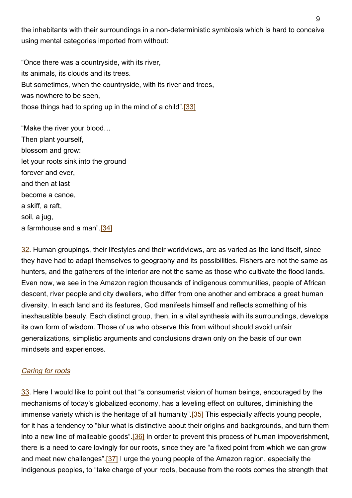the inhabitants with their surroundings in a non-deterministic symbiosis which is hard to conceive using mental categories imported from without:

"Once there was a countryside, with its river, its animals, its clouds and its trees. But sometimes, when the countryside, with its river and trees, was nowhere to be seen, those things had to spring up in the mind of a child".[33]

"Make the river your blood… Then plant yourself, blossom and grow: let your roots sink into the ground forever and ever, and then at last become a canoe, a skiff, a raft, soil, a jug, a farmhouse and a man".[34]

32. Human groupings, their lifestyles and their worldviews, are as varied as the land itself, since they have had to adapt themselves to geography and its possibilities. Fishers are not the same as hunters, and the gatherers of the interior are not the same as those who cultivate the flood lands. Even now, we see in the Amazon region thousands of indigenous communities, people of African descent, river people and city dwellers, who differ from one another and embrace a great human diversity. In each land and its features, God manifests himself and reflects something of his inexhaustible beauty. Each distinct group, then, in a vital synthesis with its surroundings, develops its own form of wisdom. Those of us who observe this from without should avoid unfair generalizations, simplistic arguments and conclusions drawn only on the basis of our own mindsets and experiences.

#### Caring for roots

33. Here I would like to point out that "a consumerist vision of human beings, encouraged by the mechanisms of today's globalized economy, has a leveling effect on cultures, diminishing the immense variety which is the heritage of all humanity".<sup>[35]</sup> This especially affects young people, for it has a tendency to "blur what is distinctive about their origins and backgrounds, and turn them into a new line of malleable goods". [36] In order to prevent this process of human impoverishment, there is a need to care lovingly for our roots, since they are "a fixed point from which we can grow and meet new challenges".[37] I urge the young people of the Amazon region, especially the indigenous peoples, to "take charge of your roots, because from the roots comes the strength that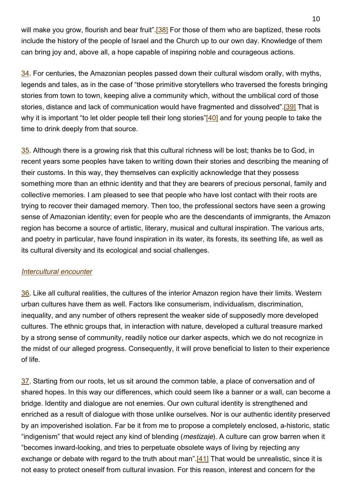will make you grow, flourish and bear fruit".<sup>[38]</sup> For those of them who are baptized, these roots include the history of the people of Israel and the Church up to our own day. Knowledge of them can bring joy and, above all, a hope capable of inspiring noble and courageous actions.

34. For centuries, the Amazonian peoples passed down their cultural wisdom orally, with myths, legends and tales, as in the case of "those primitive storytellers who traversed the forests bringing stories from town to town, keeping alive a community which, without the umbilical cord of those stories, distance and lack of communication would have fragmented and dissolved".<sup>[39]</sup> That is why it is important "to let older people tell their long stories"[40] and for young people to take the time to drink deeply from that source.

35. Although there is a growing risk that this cultural richness will be lost; thanks be to God, in recent years some peoples have taken to writing down their stories and describing the meaning of their customs. In this way, they themselves can explicitly acknowledge that they possess something more than an ethnic identity and that they are bearers of precious personal, family and collective memories. I am pleased to see that people who have lost contact with their roots are trying to recover their damaged memory. Then too, the professional sectors have seen a growing sense of Amazonian identity; even for people who are the descendants of immigrants, the Amazon region has become a source of artistic, literary, musical and cultural inspiration. The various arts, and poetry in particular, have found inspiration in its water, its forests, its seething life, as well as its cultural diversity and its ecological and social challenges.

#### Intercultural encounter

36. Like all cultural realities, the cultures of the interior Amazon region have their limits. Western urban cultures have them as well. Factors like consumerism, individualism, discrimination, inequality, and any number of others represent the weaker side of supposedly more developed cultures. The ethnic groups that, in interaction with nature, developed a cultural treasure marked by a strong sense of community, readily notice our darker aspects, which we do not recognize in the midst of our alleged progress. Consequently, it will prove beneficial to listen to their experience of life.

37. Starting from our roots, let us sit around the common table, a place of conversation and of shared hopes. In this way our differences, which could seem like a banner or a wall, can become a bridge. Identity and dialogue are not enemies. Our own cultural identity is strengthened and enriched as a result of dialogue with those unlike ourselves. Nor is our authentic identity preserved by an impoverished isolation. Far be it from me to propose a completely enclosed, a-historic, static "indigenism" that would reject any kind of blending (mestizaje). A culture can grow barren when it "becomes inward-looking, and tries to perpetuate obsolete ways of living by rejecting any exchange or debate with regard to the truth about man".<sup>[41]</sup> That would be unrealistic, since it is not easy to protect oneself from cultural invasion. For this reason, interest and concern for the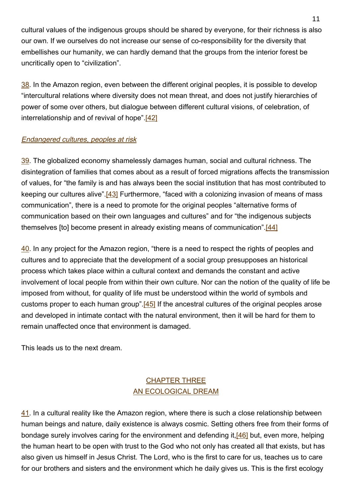cultural values of the indigenous groups should be shared by everyone, for their richness is also our own. If we ourselves do not increase our sense of co-responsibility for the diversity that embellishes our humanity, we can hardly demand that the groups from the interior forest be uncritically open to "civilization".

38. In the Amazon region, even between the different original peoples, it is possible to develop "intercultural relations where diversity does not mean threat, and does not justify hierarchies of power of some over others, but dialogue between different cultural visions, of celebration, of interrelationship and of revival of hope".[42]

## Endangered cultures, peoples at risk

39. The globalized economy shamelessly damages human, social and cultural richness. The disintegration of families that comes about as a result of forced migrations affects the transmission of values, for "the family is and has always been the social institution that has most contributed to keeping our cultures alive".[43] Furthermore, "faced with a colonizing invasion of means of mass communication", there is a need to promote for the original peoples "alternative forms of communication based on their own languages and cultures" and for "the indigenous subjects themselves [to] become present in already existing means of communication".[44]

40. In any project for the Amazon region, "there is a need to respect the rights of peoples and cultures and to appreciate that the development of a social group presupposes an historical process which takes place within a cultural context and demands the constant and active involvement of local people from within their own culture. Nor can the notion of the quality of life be imposed from without, for quality of life must be understood within the world of symbols and customs proper to each human group".[45] If the ancestral cultures of the original peoples arose and developed in intimate contact with the natural environment, then it will be hard for them to remain unaffected once that environment is damaged.

This leads us to the next dream.

# CHAPTER THREE AN ECOLOGICAL DREAM

41. In a cultural reality like the Amazon region, where there is such a close relationship between human beings and nature, daily existence is always cosmic. Setting others free from their forms of bondage surely involves caring for the environment and defending it, [46] but, even more, helping the human heart to be open with trust to the God who not only has created all that exists, but has also given us himself in Jesus Christ. The Lord, who is the first to care for us, teaches us to care for our brothers and sisters and the environment which he daily gives us. This is the first ecology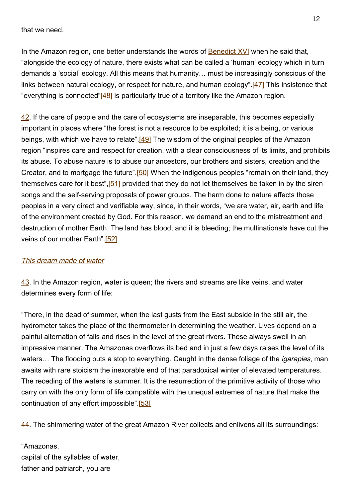that we need.

In the Amazon region, one better understands the words of [Benedict XVI](http://www.vatican.va/content/benedict-xvi/en.html) when he said that, "alongside the ecology of nature, there exists what can be called a 'human' ecology which in turn demands a 'social' ecology. All this means that humanity… must be increasingly conscious of the links between natural ecology, or respect for nature, and human ecology".[47] This insistence that "everything is connected"[48] is particularly true of a territory like the Amazon region.

 $\frac{42}{1}$ . If the care of people and the care of ecosystems are inseparable, this becomes especially important in places where "the forest is not a resource to be exploited; it is a being, or various beings, with which we have to relate".<sup>[49]</sup> The wisdom of the original peoples of the Amazon region "inspires care and respect for creation, with a clear consciousness of its limits, and prohibits its abuse. To abuse nature is to abuse our ancestors, our brothers and sisters, creation and the Creator, and to mortgage the future".[50] When the indigenous peoples "remain on their land, they themselves care for it best",[51] provided that they do not let themselves be taken in by the siren songs and the self-serving proposals of power groups. The harm done to nature affects those peoples in a very direct and verifiable way, since, in their words, "we are water, air, earth and life of the environment created by God. For this reason, we demand an end to the mistreatment and destruction of mother Earth. The land has blood, and it is bleeding; the multinationals have cut the veins of our mother Earth".[52]

## This dream made of water

43. In the Amazon region, water is queen; the rivers and streams are like veins, and water determines every form of life:

"There, in the dead of summer, when the last gusts from the East subside in the still air, the hydrometer takes the place of the thermometer in determining the weather. Lives depend on a painful alternation of falls and rises in the level of the great rivers. These always swell in an impressive manner. The Amazonas overflows its bed and in just a few days raises the level of its waters... The flooding puts a stop to everything. Caught in the dense foliage of the *igarapies*, man awaits with rare stoicism the inexorable end of that paradoxical winter of elevated temperatures. The receding of the waters is summer. It is the resurrection of the primitive activity of those who carry on with the only form of life compatible with the unequal extremes of nature that make the continuation of any effort impossible".[53]

44. The shimmering water of the great Amazon River collects and enlivens all its surroundings:

"Amazonas, capital of the syllables of water, father and patriarch, you are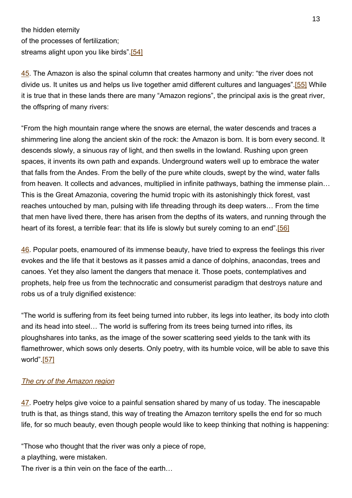the hidden eternity of the processes of fertilization; streams alight upon you like birds".[54]

45. The Amazon is also the spinal column that creates harmony and unity: "the river does not divide us. It unites us and helps us live together amid different cultures and languages".[55] While it is true that in these lands there are many "Amazon regions", the principal axis is the great river, the offspring of many rivers:

"From the high mountain range where the snows are eternal, the water descends and traces a shimmering line along the ancient skin of the rock: the Amazon is born. It is born every second. It descends slowly, a sinuous ray of light, and then swells in the lowland. Rushing upon green spaces, it invents its own path and expands. Underground waters well up to embrace the water that falls from the Andes. From the belly of the pure white clouds, swept by the wind, water falls from heaven. It collects and advances, multiplied in infinite pathways, bathing the immense plain... This is the Great Amazonia, covering the humid tropic with its astonishingly thick forest, vast reaches untouched by man, pulsing with life threading through its deep waters… From the time that men have lived there, there has arisen from the depths of its waters, and running through the heart of its forest, a terrible fear: that its life is slowly but surely coming to an end".[56]

46. Popular poets, enamoured of its immense beauty, have tried to express the feelings this river evokes and the life that it bestows as it passes amid a dance of dolphins, anacondas, trees and canoes. Yet they also lament the dangers that menace it. Those poets, contemplatives and prophets, help free us from the technocratic and consumerist paradigm that destroys nature and robs us of a truly dignified existence:

"The world is suffering from its feet being turned into rubber, its legs into leather, its body into cloth and its head into steel… The world is suffering from its trees being turned into rifles, its ploughshares into tanks, as the image of the sower scattering seed yields to the tank with its flamethrower, which sows only deserts. Only poetry, with its humble voice, will be able to save this world".[57]

## The cry of the Amazon region

47. Poetry helps give voice to a painful sensation shared by many of us today. The inescapable truth is that, as things stand, this way of treating the Amazon territory spells the end for so much life, for so much beauty, even though people would like to keep thinking that nothing is happening:

"Those who thought that the river was only a piece of rope,

a plaything, were mistaken.

The river is a thin vein on the face of the earth…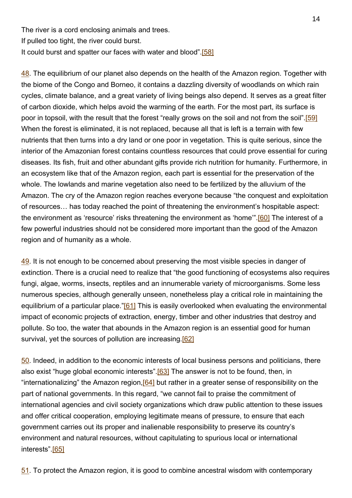The river is a cord enclosing animals and trees. If pulled too tight, the river could burst. It could burst and spatter our faces with water and blood".[58]

48. The equilibrium of our planet also depends on the health of the Amazon region. Together with the biome of the Congo and Borneo, it contains a dazzling diversity of woodlands on which rain cycles, climate balance, and a great variety of living beings also depend. It serves as a great filter of carbon dioxide, which helps avoid the warming of the earth. For the most part, its surface is poor in topsoil, with the result that the forest "really grows on the soil and not from the soil".[59] When the forest is eliminated, it is not replaced, because all that is left is a terrain with few nutrients that then turns into a dry land or one poor in vegetation. This is quite serious, since the interior of the Amazonian forest contains countless resources that could prove essential for curing diseases. Its fish, fruit and other abundant gifts provide rich nutrition for humanity. Furthermore, in an ecosystem like that of the Amazon region, each part is essential for the preservation of the whole. The lowlands and marine vegetation also need to be fertilized by the alluvium of the Amazon. The cry of the Amazon region reaches everyone because "the conquest and exploitation of resources… has today reached the point of threatening the environment's hospitable aspect: the environment as 'resource' risks threatening the environment as 'home'".[60] The interest of a few powerful industries should not be considered more important than the good of the Amazon region and of humanity as a whole.

49. It is not enough to be concerned about preserving the most visible species in danger of extinction. There is a crucial need to realize that "the good functioning of ecosystems also requires fungi, algae, worms, insects, reptiles and an innumerable variety of microorganisms. Some less numerous species, although generally unseen, nonetheless play a critical role in maintaining the equilibrium of a particular place."<sup>[61]</sup> This is easily overlooked when evaluating the environmental impact of economic projects of extraction, energy, timber and other industries that destroy and pollute. So too, the water that abounds in the Amazon region is an essential good for human survival, yet the sources of pollution are increasing [62]

50. Indeed, in addition to the economic interests of local business persons and politicians, there also exist "huge global economic interests".[63] The answer is not to be found, then, in "internationalizing" the Amazon region,[64] but rather in a greater sense of responsibility on the part of national governments. In this regard, "we cannot fail to praise the commitment of international agencies and civil society organizations which draw public attention to these issues and offer critical cooperation, employing legitimate means of pressure, to ensure that each government carries out its proper and inalienable responsibility to preserve its country's environment and natural resources, without capitulating to spurious local or international interests".[65]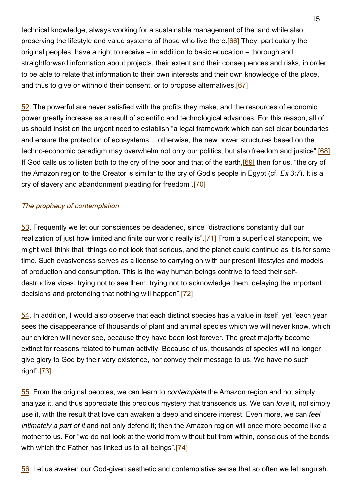technical knowledge, always working for a sustainable management of the land while also preserving the lifestyle and value systems of those who live there.[66] They, particularly the original peoples, have a right to receive – in addition to basic education – thorough and straightforward information about projects, their extent and their consequences and risks, in order to be able to relate that information to their own interests and their own knowledge of the place, and thus to give or withhold their consent, or to propose alternatives.[67]

52. The powerful are never satisfied with the profits they make, and the resources of economic power greatly increase as a result of scientific and technological advances. For this reason, all of us should insist on the urgent need to establish "a legal framework which can set clear boundaries and ensure the protection of ecosystems… otherwise, the new power structures based on the techno-economic paradigm may overwhelm not only our politics, but also freedom and justice".[68] If God calls us to listen both to the cry of the poor and that of the earth,[69] then for us, "the cry of the Amazon region to the Creator is similar to the cry of God's people in Egypt (cf. Ex 3:7). It is a cry of slavery and abandonment pleading for freedom".[70]

## The prophecy of contemplation

53. Frequently we let our consciences be deadened, since "distractions constantly dull our realization of just how limited and finite our world really is".[71] From a superficial standpoint, we might well think that "things do not look that serious, and the planet could continue as it is for some time. Such evasiveness serves as a license to carrying on with our present lifestyles and models of production and consumption. This is the way human beings contrive to feed their selfdestructive vices: trying not to see them, trying not to acknowledge them, delaying the important decisions and pretending that nothing will happen".[72]

54. In addition, I would also observe that each distinct species has a value in itself, yet "each year sees the disappearance of thousands of plant and animal species which we will never know, which our children will never see, because they have been lost forever. The great majority become extinct for reasons related to human activity. Because of us, thousands of species will no longer give glory to God by their very existence, nor convey their message to us. We have no such right".[73]

55. From the original peoples, we can learn to contemplate the Amazon region and not simply analyze it, and thus appreciate this precious mystery that transcends us. We can *love* it, not simply use it, with the result that love can awaken a deep and sincere interest. Even more, we can feel intimately a part of it and not only defend it; then the Amazon region will once more become like a mother to us. For "we do not look at the world from without but from within, conscious of the bonds with which the Father has linked us to all beings".[74]

56. Let us awaken our God-given aesthetic and contemplative sense that so often we let languish.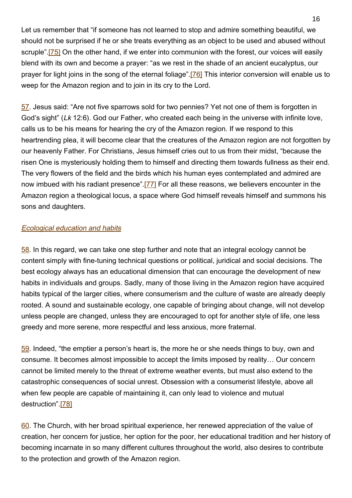Let us remember that "if someone has not learned to stop and admire something beautiful, we should not be surprised if he or she treats everything as an object to be used and abused without scruple".<sup>[75]</sup> On the other hand, if we enter into communion with the forest, our voices will easily blend with its own and become a prayer: "as we rest in the shade of an ancient eucalyptus, our prayer for light joins in the song of the eternal foliage".[76] This interior conversion will enable us to weep for the Amazon region and to join in its cry to the Lord.

57. Jesus said: "Are not five sparrows sold for two pennies? Yet not one of them is forgotten in God's sight" (Lk 12:6). God our Father, who created each being in the universe with infinite love, calls us to be his means for hearing the cry of the Amazon region. If we respond to this heartrending plea, it will become clear that the creatures of the Amazon region are not forgotten by our heavenly Father. For Christians, Jesus himself cries out to us from their midst, "because the risen One is mysteriously holding them to himself and directing them towards fullness as their end. The very flowers of the field and the birds which his human eyes contemplated and admired are now imbued with his radiant presence".[77] For all these reasons, we believers encounter in the Amazon region a theological locus, a space where God himself reveals himself and summons his sons and daughters.

### **Ecological education and habits**

58. In this regard, we can take one step further and note that an integral ecology cannot be content simply with fine-tuning technical questions or political, juridical and social decisions. The best ecology always has an educational dimension that can encourage the development of new habits in individuals and groups. Sadly, many of those living in the Amazon region have acquired habits typical of the larger cities, where consumerism and the culture of waste are already deeply rooted. A sound and sustainable ecology, one capable of bringing about change, will not develop unless people are changed, unless they are encouraged to opt for another style of life, one less greedy and more serene, more respectful and less anxious, more fraternal.

59. Indeed, "the emptier a person's heart is, the more he or she needs things to buy, own and consume. It becomes almost impossible to accept the limits imposed by reality… Our concern cannot be limited merely to the threat of extreme weather events, but must also extend to the catastrophic consequences of social unrest. Obsession with a consumerist lifestyle, above all when few people are capable of maintaining it, can only lead to violence and mutual destruction".[78]

60. The Church, with her broad spiritual experience, her renewed appreciation of the value of creation, her concern for justice, her option for the poor, her educational tradition and her history of becoming incarnate in so many different cultures throughout the world, also desires to contribute to the protection and growth of the Amazon region.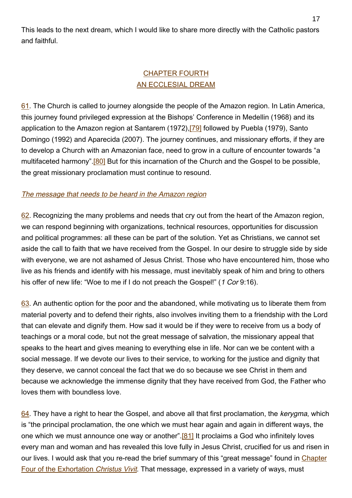This leads to the next dream, which I would like to share more directly with the Catholic pastors and faithful.

# CHAPTER FOURTH AN ECCLESIAL DREAM

61. The Church is called to journey alongside the people of the Amazon region. In Latin America, this journey found privileged expression at the Bishops' Conference in Medellin (1968) and its application to the Amazon region at Santarem (1972),[79] followed by Puebla (1979), Santo Domingo (1992) and Aparecida (2007). The journey continues, and missionary efforts, if they are to develop a Church with an Amazonian face, need to grow in a culture of encounter towards "a multifaceted harmony".<sup>[80]</sup> But for this incarnation of the Church and the Gospel to be possible, the great missionary proclamation must continue to resound.

## The message that needs to be heard in the Amazon region

62. Recognizing the many problems and needs that cry out from the heart of the Amazon region, we can respond beginning with organizations, technical resources, opportunities for discussion and political programmes: all these can be part of the solution. Yet as Christians, we cannot set aside the call to faith that we have received from the Gospel. In our desire to struggle side by side with everyone, we are not ashamed of Jesus Christ. Those who have encountered him, those who live as his friends and identify with his message, must inevitably speak of him and bring to others his offer of new life: "Woe to me if I do not preach the Gospel!" (1 Cor 9:16).

63. An authentic option for the poor and the abandoned, while motivating us to liberate them from material poverty and to defend their rights, also involves inviting them to a friendship with the Lord that can elevate and dignify them. How sad it would be if they were to receive from us a body of teachings or a moral code, but not the great message of salvation, the missionary appeal that speaks to the heart and gives meaning to everything else in life. Nor can we be content with a social message. If we devote our lives to their service, to working for the justice and dignity that they deserve, we cannot conceal the fact that we do so because we see Christ in them and because we acknowledge the immense dignity that they have received from God, the Father who loves them with boundless love.

64. They have a right to hear the Gospel, and above all that first proclamation, the kerygma, which is "the principal proclamation, the one which we must hear again and again in different ways, the one which we must announce one way or another".[81] It proclaims a God who infinitely loves every man and woman and has revealed this love fully in Jesus Christ, crucified for us and risen in our lives. I would ask that you re-read the brief summary of this "great message" found in [Chapter](http://www.vatican.va/content/francesco/en/apost_exhortations/documents/papa-francesco_esortazione-ap_20190325_christus-vivit.html#CHAPTER_FOUR) [Four of the Exhortation](http://www.vatican.va/content/francesco/en/apost_exhortations/documents/papa-francesco_esortazione-ap_20190325_christus-vivit.html#CHAPTER_FOUR) Christus Vivit. That message, expressed in a variety of ways, must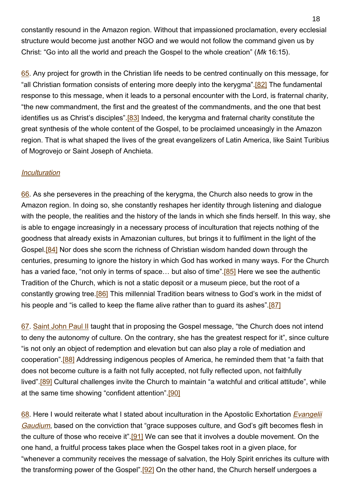constantly resound in the Amazon region. Without that impassioned proclamation, every ecclesial structure would become just another NGO and we would not follow the command given us by Christ: "Go into all the world and preach the Gospel to the whole creation" (Mk 16:15).

65. Any project for growth in the Christian life needs to be centred continually on this message, for "all Christian formation consists of entering more deeply into the kerygma".[82] The fundamental response to this message, when it leads to a personal encounter with the Lord, is fraternal charity, "the new commandment, the first and the greatest of the commandments, and the one that best identifies us as Christ's disciples".<sup>[83]</sup> Indeed, the kerygma and fraternal charity constitute the great synthesis of the whole content of the Gospel, to be proclaimed unceasingly in the Amazon region. That is what shaped the lives of the great evangelizers of Latin America, like Saint Turibius of Mogrovejo or Saint Joseph of Anchieta.

#### **Inculturation**

66. As she perseveres in the preaching of the kerygma, the Church also needs to grow in the Amazon region. In doing so, she constantly reshapes her identity through listening and dialogue with the people, the realities and the history of the lands in which she finds herself. In this way, she is able to engage increasingly in a necessary process of inculturation that rejects nothing of the goodness that already exists in Amazonian cultures, but brings it to fulfilment in the light of the Gospel.[84] Nor does she scorn the richness of Christian wisdom handed down through the centuries, presuming to ignore the history in which God has worked in many ways. For the Church has a varied face, "not only in terms of space... but also of time".<sup>[85]</sup> Here we see the authentic Tradition of the Church, which is not a static deposit or a museum piece, but the root of a constantly growing tree.[86] This millennial Tradition bears witness to God's work in the midst of his people and "is called to keep the flame alive rather than to guard its ashes".[87]

67. [Saint John Paul II](http://www.vatican.va/content/john-paul-ii/en.html) taught that in proposing the Gospel message, "the Church does not intend to deny the autonomy of culture. On the contrary, she has the greatest respect for it", since culture "is not only an object of redemption and elevation but can also play a role of mediation and cooperation".[88] Addressing indigenous peoples of America, he reminded them that "a faith that does not become culture is a faith not fully accepted, not fully reflected upon, not faithfully lived".<sup>[89]</sup> Cultural challenges invite the Church to maintain "a watchful and critical attitude", while at the same time showing "confident attention".[90]

68. Here I would reiterate what I stated about inculturation in the Apostolic Exhortation [Evangelii](http://www.vatican.va/content/francesco/en/apost_exhortations/documents/papa-francesco_esortazione-ap_20131124_evangelii-gaudium.html) [Gaudium](http://www.vatican.va/content/francesco/en/apost_exhortations/documents/papa-francesco_esortazione-ap_20131124_evangelii-gaudium.html), based on the conviction that "grace supposes culture, and God's gift becomes flesh in the culture of those who receive it".[91] We can see that it involves a double movement. On the one hand, a fruitful process takes place when the Gospel takes root in a given place, for "whenever a community receives the message of salvation, the Holy Spirit enriches its culture with the transforming power of the Gospel".[92] On the other hand, the Church herself undergoes a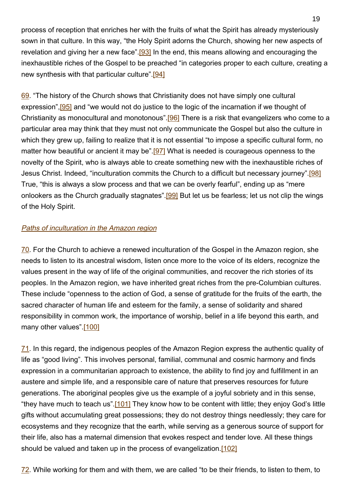process of reception that enriches her with the fruits of what the Spirit has already mysteriously sown in that culture. In this way, "the Holy Spirit adorns the Church, showing her new aspects of revelation and giving her a new face".<sup>[93]</sup> In the end, this means allowing and encouraging the inexhaustible riches of the Gospel to be preached "in categories proper to each culture, creating a new synthesis with that particular culture".[94]

69. "The history of the Church shows that Christianity does not have simply one cultural expression".<sup>[95]</sup> and "we would not do justice to the logic of the incarnation if we thought of Christianity as monocultural and monotonous".[96] There is a risk that evangelizers who come to a particular area may think that they must not only communicate the Gospel but also the culture in which they grew up, failing to realize that it is not essential "to impose a specific cultural form, no matter how beautiful or ancient it may be".<sup>[97]</sup> What is needed is courageous openness to the novelty of the Spirit, who is always able to create something new with the inexhaustible riches of Jesus Christ. Indeed, "inculturation commits the Church to a difficult but necessary journey".[98] True, "this is always a slow process and that we can be overly fearful", ending up as "mere onlookers as the Church gradually stagnates".[99] But let us be fearless; let us not clip the wings of the Holy Spirit.

## **Paths of inculturation in the Amazon region**

70. For the Church to achieve a renewed inculturation of the Gospel in the Amazon region, she needs to listen to its ancestral wisdom, listen once more to the voice of its elders, recognize the values present in the way of life of the original communities, and recover the rich stories of its peoples. In the Amazon region, we have inherited great riches from the pre-Columbian cultures. These include "openness to the action of God, a sense of gratitude for the fruits of the earth, the sacred character of human life and esteem for the family, a sense of solidarity and shared responsibility in common work, the importance of worship, belief in a life beyond this earth, and many other values".[100]

71. In this regard, the indigenous peoples of the Amazon Region express the authentic quality of life as "good living". This involves personal, familial, communal and cosmic harmony and finds expression in a communitarian approach to existence, the ability to find joy and fulfillment in an austere and simple life, and a responsible care of nature that preserves resources for future generations. The aboriginal peoples give us the example of a joyful sobriety and in this sense, "they have much to teach us".[101] They know how to be content with little; they enjoy God's little gifts without accumulating great possessions; they do not destroy things needlessly; they care for ecosystems and they recognize that the earth, while serving as a generous source of support for their life, also has a maternal dimension that evokes respect and tender love. All these things should be valued and taken up in the process of evangelization.<sup>[102]</sup>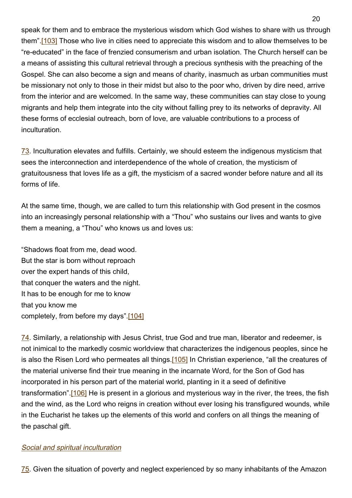speak for them and to embrace the mysterious wisdom which God wishes to share with us through them".[103] Those who live in cities need to appreciate this wisdom and to allow themselves to be "re-educated" in the face of frenzied consumerism and urban isolation. The Church herself can be a means of assisting this cultural retrieval through a precious synthesis with the preaching of the Gospel. She can also become a sign and means of charity, inasmuch as urban communities must be missionary not only to those in their midst but also to the poor who, driven by dire need, arrive from the interior and are welcomed. In the same way, these communities can stay close to young migrants and help them integrate into the city without falling prey to its networks of depravity. All these forms of ecclesial outreach, born of love, are valuable contributions to a process of inculturation.

73. Inculturation elevates and fulfills. Certainly, we should esteem the indigenous mysticism that sees the interconnection and interdependence of the whole of creation, the mysticism of gratuitousness that loves life as a gift, the mysticism of a sacred wonder before nature and all its forms of life.

At the same time, though, we are called to turn this relationship with God present in the cosmos into an increasingly personal relationship with a "Thou" who sustains our lives and wants to give them a meaning, a "Thou" who knows us and loves us:

"Shadows float from me, dead wood. But the star is born without reproach over the expert hands of this child, that conquer the waters and the night. It has to be enough for me to know that you know me completely, from before my days".[104]

74. Similarly, a relationship with Jesus Christ, true God and true man, liberator and redeemer, is not inimical to the markedly cosmic worldview that characterizes the indigenous peoples, since he is also the Risen Lord who permeates all things.[105] In Christian experience, "all the creatures of the material universe find their true meaning in the incarnate Word, for the Son of God has incorporated in his person part of the material world, planting in it a seed of definitive transformation".[106] He is present in a glorious and mysterious way in the river, the trees, the fish and the wind, as the Lord who reigns in creation without ever losing his transfigured wounds, while in the Eucharist he takes up the elements of this world and confers on all things the meaning of the paschal gift.

## Social and spiritual inculturation

75. Given the situation of poverty and neglect experienced by so many inhabitants of the Amazon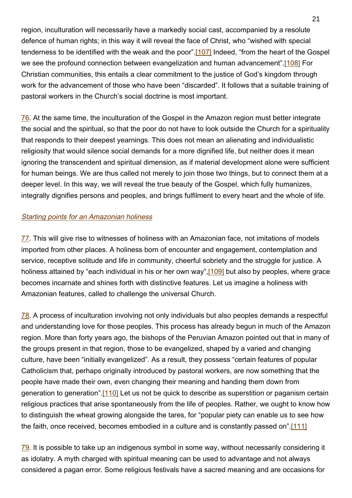region, inculturation will necessarily have a markedly social cast, accompanied by a resolute defence of human rights; in this way it will reveal the face of Christ, who "wished with special tenderness to be identified with the weak and the poor".[107] Indeed, "from the heart of the Gospel we see the profound connection between evangelization and human advancement".<sup>[108]</sup> For Christian communities, this entails a clear commitment to the justice of God's kingdom through work for the advancement of those who have been "discarded". It follows that a suitable training of pastoral workers in the Church's social doctrine is most important.

76. At the same time, the inculturation of the Gospel in the Amazon region must better integrate the social and the spiritual, so that the poor do not have to look outside the Church for a spirituality that responds to their deepest yearnings. This does not mean an alienating and individualistic religiosity that would silence social demands for a more dignified life, but neither does it mean ignoring the transcendent and spiritual dimension, as if material development alone were sufficient for human beings. We are thus called not merely to join those two things, but to connect them at a deeper level. In this way, we will reveal the true beauty of the Gospel, which fully humanizes, integrally dignifies persons and peoples, and brings fulfilment to every heart and the whole of life.

### Starting points for an Amazonian holiness

77. This will give rise to witnesses of holiness with an Amazonian face, not imitations of models imported from other places. A holiness born of encounter and engagement, contemplation and service, receptive solitude and life in community, cheerful sobriety and the struggle for justice. A holiness attained by "each individual in his or her own way", [109] but also by peoples, where grace becomes incarnate and shines forth with distinctive features. Let us imagine a holiness with Amazonian features, called to challenge the universal Church.

78. A process of inculturation involving not only individuals but also peoples demands a respectful and understanding love for those peoples. This process has already begun in much of the Amazon region. More than forty years ago, the bishops of the Peruvian Amazon pointed out that in many of the groups present in that region, those to be evangelized, shaped by a varied and changing culture, have been "initially evangelized". As a result, they possess "certain features of popular Catholicism that, perhaps originally introduced by pastoral workers, are now something that the people have made their own, even changing their meaning and handing them down from generation to generation".[110] Let us not be quick to describe as superstition or paganism certain religious practices that arise spontaneously from the life of peoples. Rather, we ought to know how to distinguish the wheat growing alongside the tares, for "popular piety can enable us to see how the faith, once received, becomes embodied in a culture and is constantly passed on".[111]

79. It is possible to take up an indigenous symbol in some way, without necessarily considering it as idolatry. A myth charged with spiritual meaning can be used to advantage and not always considered a pagan error. Some religious festivals have a sacred meaning and are occasions for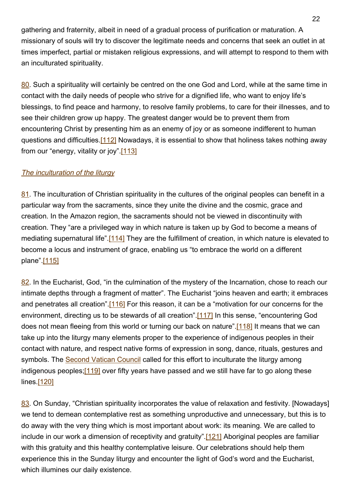gathering and fraternity, albeit in need of a gradual process of purification or maturation. A missionary of souls will try to discover the legitimate needs and concerns that seek an outlet in at times imperfect, partial or mistaken religious expressions, and will attempt to respond to them with an inculturated spirituality.

80. Such a spirituality will certainly be centred on the one God and Lord, while at the same time in contact with the daily needs of people who strive for a dignified life, who want to enjoy life's blessings, to find peace and harmony, to resolve family problems, to care for their illnesses, and to see their children grow up happy. The greatest danger would be to prevent them from encountering Christ by presenting him as an enemy of joy or as someone indifferent to human questions and difficulties.[112] Nowadays, it is essential to show that holiness takes nothing away from our "energy, vitality or joy".[113]

## The inculturation of the liturgy

81. The inculturation of Christian spirituality in the cultures of the original peoples can benefit in a particular way from the sacraments, since they unite the divine and the cosmic, grace and creation. In the Amazon region, the sacraments should not be viewed in discontinuity with creation. They "are a privileged way in which nature is taken up by God to become a means of mediating supernatural life".<sup>[114]</sup> They are the fulfillment of creation, in which nature is elevated to become a locus and instrument of grace, enabling us "to embrace the world on a different plane".[115]

82. In the Eucharist, God, "in the culmination of the mystery of the Incarnation, chose to reach our intimate depths through a fragment of matter". The Eucharist "joins heaven and earth; it embraces and penetrates all creation". [116] For this reason, it can be a "motivation for our concerns for the environment, directing us to be stewards of all creation".[117] In this sense, "encountering God does not mean fleeing from this world or turning our back on nature".<sup>[118]</sup> It means that we can take up into the liturgy many elements proper to the experience of indigenous peoples in their contact with nature, and respect native forms of expression in song, dance, rituals, gestures and symbols. The [Second Vatican Council](http://www.vatican.va/archive/hist_councils/ii_vatican_council/index.htm) called for this effort to inculturate the liturgy among indigenous peoples;<sup>[119]</sup> over fifty years have passed and we still have far to go along these lines.[120]

83. On Sunday, "Christian spirituality incorporates the value of relaxation and festivity. [Nowadays] we tend to demean contemplative rest as something unproductive and unnecessary, but this is to do away with the very thing which is most important about work: its meaning. We are called to include in our work a dimension of receptivity and gratuity".[121] Aboriginal peoples are familiar with this gratuity and this healthy contemplative leisure. Our celebrations should help them experience this in the Sunday liturgy and encounter the light of God's word and the Eucharist, which illumines our daily existence.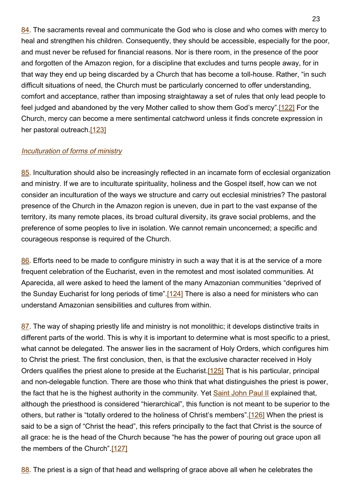84. The sacraments reveal and communicate the God who is close and who comes with mercy to heal and strengthen his children. Consequently, they should be accessible, especially for the poor, and must never be refused for financial reasons. Nor is there room, in the presence of the poor and forgotten of the Amazon region, for a discipline that excludes and turns people away, for in that way they end up being discarded by a Church that has become a toll-house. Rather, "in such difficult situations of need, the Church must be particularly concerned to offer understanding, comfort and acceptance, rather than imposing straightaway a set of rules that only lead people to feel judged and abandoned by the very Mother called to show them God's mercy".[122] For the Church, mercy can become a mere sentimental catchword unless it finds concrete expression in her pastoral outreach.[123]

## Inculturation of forms of ministry

85. Inculturation should also be increasingly reflected in an incarnate form of ecclesial organization and ministry. If we are to inculturate spirituality, holiness and the Gospel itself, how can we not consider an inculturation of the ways we structure and carry out ecclesial ministries? The pastoral presence of the Church in the Amazon region is uneven, due in part to the vast expanse of the territory, its many remote places, its broad cultural diversity, its grave social problems, and the preference of some peoples to live in isolation. We cannot remain unconcerned; a specific and courageous response is required of the Church.

86. Efforts need to be made to configure ministry in such a way that it is at the service of a more frequent celebration of the Eucharist, even in the remotest and most isolated communities. At Aparecida, all were asked to heed the lament of the many Amazonian communities "deprived of the Sunday Eucharist for long periods of time".[124] There is also a need for ministers who can understand Amazonian sensibilities and cultures from within.

87. The way of shaping priestly life and ministry is not monolithic; it develops distinctive traits in different parts of the world. This is why it is important to determine what is most specific to a priest, what cannot be delegated. The answer lies in the sacrament of Holy Orders, which configures him to Christ the priest. The first conclusion, then, is that the exclusive character received in Holy Orders qualifies the priest alone to preside at the Eucharist.[125] That is his particular, principal and non-delegable function. There are those who think that what distinguishes the priest is power, the fact that he is the highest authority in the community. Yet [Saint John Paul II](http://www.vatican.va/content/john-paul-ii/en.html) explained that, although the priesthood is considered "hierarchical", this function is not meant to be superior to the others, but rather is "totally ordered to the holiness of Christ's members" [126] When the priest is said to be a sign of "Christ the head", this refers principally to the fact that Christ is the source of all grace: he is the head of the Church because "he has the power of pouring out grace upon all the members of the Church".[127]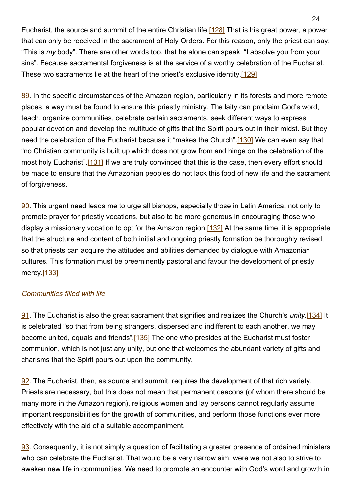Eucharist, the source and summit of the entire Christian life.[128] That is his great power, a power that can only be received in the sacrament of Holy Orders. For this reason, only the priest can say: "This is my body". There are other words too, that he alone can speak: "I absolve you from your sins". Because sacramental forgiveness is at the service of a worthy celebration of the Eucharist. These two sacraments lie at the heart of the priest's exclusive identity.[129]

89. In the specific circumstances of the Amazon region, particularly in its forests and more remote places, a way must be found to ensure this priestly ministry. The laity can proclaim God's word, teach, organize communities, celebrate certain sacraments, seek different ways to express popular devotion and develop the multitude of gifts that the Spirit pours out in their midst. But they need the celebration of the Eucharist because it "makes the Church".[130] We can even say that "no Christian community is built up which does not grow from and hinge on the celebration of the most holy Eucharist".[131] If we are truly convinced that this is the case, then every effort should be made to ensure that the Amazonian peoples do not lack this food of new life and the sacrament of forgiveness.

90. This urgent need leads me to urge all bishops, especially those in Latin America, not only to promote prayer for priestly vocations, but also to be more generous in encouraging those who display a missionary vocation to opt for the Amazon region. [132] At the same time, it is appropriate that the structure and content of both initial and ongoing priestly formation be thoroughly revised, so that priests can acquire the attitudes and abilities demanded by dialogue with Amazonian cultures. This formation must be preeminently pastoral and favour the development of priestly mercy.[133]

## Communities filled with life

91. The Eucharist is also the great sacrament that signifies and realizes the Church's unity.<sup>[134]</sup> It is celebrated "so that from being strangers, dispersed and indifferent to each another, we may become united, equals and friends". [135] The one who presides at the Eucharist must foster communion, which is not just any unity, but one that welcomes the abundant variety of gifts and charisms that the Spirit pours out upon the community.

92. The Eucharist, then, as source and summit, requires the development of that rich variety. Priests are necessary, but this does not mean that permanent deacons (of whom there should be many more in the Amazon region), religious women and lay persons cannot regularly assume important responsibilities for the growth of communities, and perform those functions ever more effectively with the aid of a suitable accompaniment.

93. Consequently, it is not simply a question of facilitating a greater presence of ordained ministers who can celebrate the Eucharist. That would be a very narrow aim, were we not also to strive to awaken new life in communities. We need to promote an encounter with God's word and growth in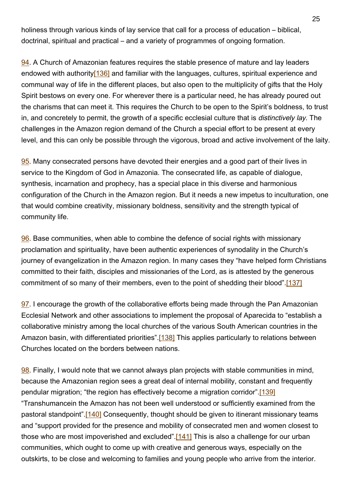holiness through various kinds of lay service that call for a process of education – biblical, doctrinal, spiritual and practical – and a variety of programmes of ongoing formation.

94. A Church of Amazonian features requires the stable presence of mature and lay leaders endowed with authority<sup>[136]</sup> and familiar with the languages, cultures, spiritual experience and communal way of life in the different places, but also open to the multiplicity of gifts that the Holy Spirit bestows on every one. For wherever there is a particular need, he has already poured out the charisms that can meet it. This requires the Church to be open to the Spirit's boldness, to trust in, and concretely to permit, the growth of a specific ecclesial culture that is distinctively lay. The challenges in the Amazon region demand of the Church a special effort to be present at every level, and this can only be possible through the vigorous, broad and active involvement of the laity.

95. Many consecrated persons have devoted their energies and a good part of their lives in service to the Kingdom of God in Amazonia. The consecrated life, as capable of dialogue, synthesis, incarnation and prophecy, has a special place in this diverse and harmonious configuration of the Church in the Amazon region. But it needs a new impetus to inculturation, one that would combine creativity, missionary boldness, sensitivity and the strength typical of community life.

96. Base communities, when able to combine the defence of social rights with missionary proclamation and spirituality, have been authentic experiences of synodality in the Church's journey of evangelization in the Amazon region. In many cases they "have helped form Christians committed to their faith, disciples and missionaries of the Lord, as is attested by the generous commitment of so many of their members, even to the point of shedding their blood".[137]

97. I encourage the growth of the collaborative efforts being made through the Pan Amazonian Ecclesial Network and other associations to implement the proposal of Aparecida to "establish a collaborative ministry among the local churches of the various South American countries in the Amazon basin, with differentiated priorities".[138] This applies particularly to relations between Churches located on the borders between nations.

98. Finally, I would note that we cannot always plan projects with stable communities in mind, because the Amazonian region sees a great deal of internal mobility, constant and frequently pendular migration; "the region has effectively become a migration corridor".[139] "Transhumancein the Amazon has not been well understood or sufficiently examined from the pastoral standpoint".[140] Consequently, thought should be given to itinerant missionary teams and "support provided for the presence and mobility of consecrated men and women closest to those who are most impoverished and excluded".[141] This is also a challenge for our urban communities, which ought to come up with creative and generous ways, especially on the outskirts, to be close and welcoming to families and young people who arrive from the interior.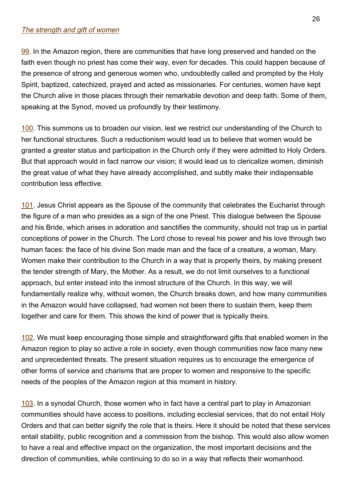#### The strength and gift of women

99. In the Amazon region, there are communities that have long preserved and handed on the faith even though no priest has come their way, even for decades. This could happen because of the presence of strong and generous women who, undoubtedly called and prompted by the Holy Spirit, baptized, catechized, prayed and acted as missionaries. For centuries, women have kept the Church alive in those places through their remarkable devotion and deep faith. Some of them, speaking at the Synod, moved us profoundly by their testimony.

100. This summons us to broaden our vision, lest we restrict our understanding of the Church to her functional structures. Such a reductionism would lead us to believe that women would be granted a greater status and participation in the Church only if they were admitted to Holy Orders. But that approach would in fact narrow our vision; it would lead us to clericalize women, diminish the great value of what they have already accomplished, and subtly make their indispensable contribution less effective.

101. Jesus Christ appears as the Spouse of the community that celebrates the Eucharist through the figure of a man who presides as a sign of the one Priest. This dialogue between the Spouse and his Bride, which arises in adoration and sanctifies the community, should not trap us in partial conceptions of power in the Church. The Lord chose to reveal his power and his love through two human faces: the face of his divine Son made man and the face of a creature, a woman, Mary. Women make their contribution to the Church in a way that is properly theirs, by making present the tender strength of Mary, the Mother. As a result, we do not limit ourselves to a functional approach, but enter instead into the inmost structure of the Church. In this way, we will fundamentally realize why, without women, the Church breaks down, and how many communities in the Amazon would have collapsed, had women not been there to sustain them, keep them together and care for them. This shows the kind of power that is typically theirs.

102. We must keep encouraging those simple and straightforward gifts that enabled women in the Amazon region to play so active a role in society, even though communities now face many new and unprecedented threats. The present situation requires us to encourage the emergence of other forms of service and charisms that are proper to women and responsive to the specific needs of the peoples of the Amazon region at this moment in history.

103. In a synodal Church, those women who in fact have a central part to play in Amazonian communities should have access to positions, including ecclesial services, that do not entail Holy Orders and that can better signify the role that is theirs. Here it should be noted that these services entail stability, public recognition and a commission from the bishop. This would also allow women to have a real and effective impact on the organization, the most important decisions and the direction of communities, while continuing to do so in a way that reflects their womanhood.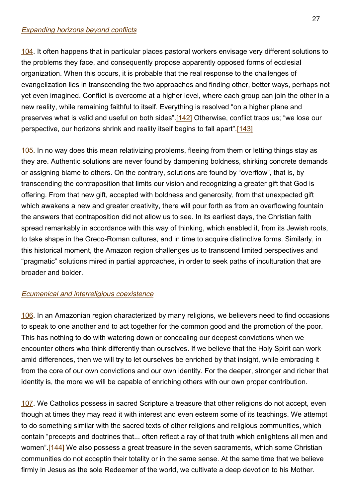#### Expanding horizons beyond conflicts

104. It often happens that in particular places pastoral workers envisage very different solutions to the problems they face, and consequently propose apparently opposed forms of ecclesial organization. When this occurs, it is probable that the real response to the challenges of evangelization lies in transcending the two approaches and finding other, better ways, perhaps not yet even imagined. Conflict is overcome at a higher level, where each group can join the other in a new reality, while remaining faithful to itself. Everything is resolved "on a higher plane and preserves what is valid and useful on both sides".[142] Otherwise, conflict traps us; "we lose our perspective, our horizons shrink and reality itself begins to fall apart".[143]

105. In no way does this mean relativizing problems, fleeing from them or letting things stay as they are. Authentic solutions are never found by dampening boldness, shirking concrete demands or assigning blame to others. On the contrary, solutions are found by "overflow", that is, by transcending the contraposition that limits our vision and recognizing a greater gift that God is offering. From that new gift, accepted with boldness and generosity, from that unexpected gift which awakens a new and greater creativity, there will pour forth as from an overflowing fountain the answers that contraposition did not allow us to see. In its earliest days, the Christian faith spread remarkably in accordance with this way of thinking, which enabled it, from its Jewish roots, to take shape in the Greco-Roman cultures, and in time to acquire distinctive forms. Similarly, in this historical moment, the Amazon region challenges us to transcend limited perspectives and "pragmatic" solutions mired in partial approaches, in order to seek paths of inculturation that are broader and bolder.

#### Ecumenical and interreligious coexistence

106. In an Amazonian region characterized by many religions, we believers need to find occasions to speak to one another and to act together for the common good and the promotion of the poor. This has nothing to do with watering down or concealing our deepest convictions when we encounter others who think differently than ourselves. If we believe that the Holy Spirit can work amid differences, then we will try to let ourselves be enriched by that insight, while embracing it from the core of our own convictions and our own identity. For the deeper, stronger and richer that identity is, the more we will be capable of enriching others with our own proper contribution.

107. We Catholics possess in sacred Scripture a treasure that other religions do not accept, even though at times they may read it with interest and even esteem some of its teachings. We attempt to do something similar with the sacred texts of other religions and religious communities, which contain "precepts and doctrines that... often reflect a ray of that truth which enlightens all men and women".[144] We also possess a great treasure in the seven sacraments, which some Christian communities do not acceptin their totality or in the same sense. At the same time that we believe firmly in Jesus as the sole Redeemer of the world, we cultivate a deep devotion to his Mother.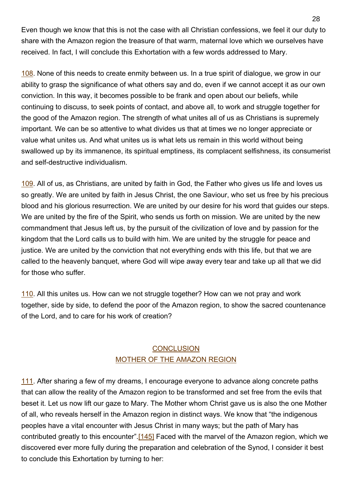Even though we know that this is not the case with all Christian confessions, we feel it our duty to share with the Amazon region the treasure of that warm, maternal love which we ourselves have received. In fact, I will conclude this Exhortation with a few words addressed to Mary.

108. None of this needs to create enmity between us. In a true spirit of dialogue, we grow in our ability to grasp the significance of what others say and do, even if we cannot accept it as our own conviction. In this way, it becomes possible to be frank and open about our beliefs, while continuing to discuss, to seek points of contact, and above all, to work and struggle together for the good of the Amazon region. The strength of what unites all of us as Christians is supremely important. We can be so attentive to what divides us that at times we no longer appreciate or value what unites us. And what unites us is what lets us remain in this world without being swallowed up by its immanence, its spiritual emptiness, its complacent selfishness, its consumerist and self-destructive individualism.

109. All of us, as Christians, are united by faith in God, the Father who gives us life and loves us so greatly. We are united by faith in Jesus Christ, the one Saviour, who set us free by his precious blood and his glorious resurrection. We are united by our desire for his word that guides our steps. We are united by the fire of the Spirit, who sends us forth on mission. We are united by the new commandment that Jesus left us, by the pursuit of the civilization of love and by passion for the kingdom that the Lord calls us to build with him. We are united by the struggle for peace and justice. We are united by the conviction that not everything ends with this life, but that we are called to the heavenly banquet, where God will wipe away every tear and take up all that we did for those who suffer.

110. All this unites us. How can we not struggle together? How can we not pray and work together, side by side, to defend the poor of the Amazon region, to show the sacred countenance of the Lord, and to care for his work of creation?

## **CONCLUSION** MOTHER OF THE AMAZON REGION

111. After sharing a few of my dreams, I encourage everyone to advance along concrete paths that can allow the reality of the Amazon region to be transformed and set free from the evils that beset it. Let us now lift our gaze to Mary. The Mother whom Christ gave us is also the one Mother of all, who reveals herself in the Amazon region in distinct ways. We know that "the indigenous peoples have a vital encounter with Jesus Christ in many ways; but the path of Mary has contributed greatly to this encounter".[145] Faced with the marvel of the Amazon region, which we discovered ever more fully during the preparation and celebration of the Synod, I consider it best to conclude this Exhortation by turning to her: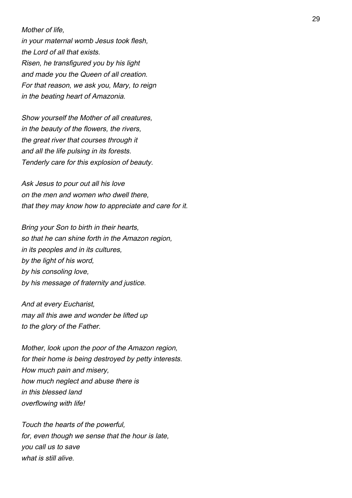Mother of life, in your maternal womb Jesus took flesh,

the Lord of all that exists. Risen, he transfigured you by his light and made you the Queen of all creation. For that reason, we ask you, Mary, to reign in the beating heart of Amazonia.

Show yourself the Mother of all creatures, in the beauty of the flowers, the rivers, the great river that courses through it and all the life pulsing in its forests. Tenderly care for this explosion of beauty.

Ask Jesus to pour out all his love on the men and women who dwell there, that they may know how to appreciate and care for it.

Bring your Son to birth in their hearts, so that he can shine forth in the Amazon region, in its peoples and in its cultures, by the light of his word, by his consoling love, by his message of fraternity and justice.

And at every Eucharist, may all this awe and wonder be lifted up to the glory of the Father.

Mother, look upon the poor of the Amazon region, for their home is being destroyed by petty interests. How much pain and misery, how much neglect and abuse there is in this blessed land overflowing with life!

Touch the hearts of the powerful, for, even though we sense that the hour is late, you call us to save what is still alive.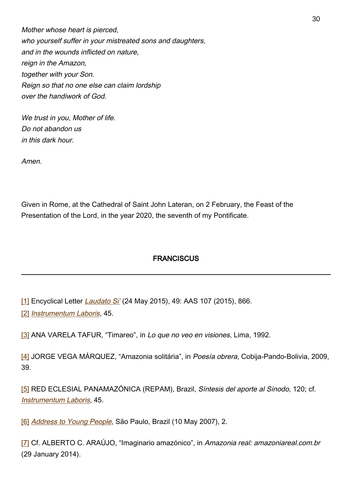Mother whose heart is pierced, who yourself suffer in your mistreated sons and daughters, and in the wounds inflicted on nature, reign in the Amazon, together with your Son. Reign so that no one else can claim lordship over the handiwork of God.

We trust in you, Mother of life. Do not abandon us in this dark hour.

Amen.

Given in Rome, at the Cathedral of Saint John Lateran, on 2 February, the Feast of the Presentation of the Lord, in the year 2020, the seventh of my Pontificate.

#### **FRANCISCUS**

[1] Encyclical Letter *[Laudato Si'](http://www.vatican.va/content/francesco/en/encyclicals/documents/papa-francesco_20150524_enciclica-laudato-si.html)* (24 May 2015), 49: AAS 107 (2015), 866.

[2] *[Instrumentum Laboris](http://www.sinodoamazonico.va/content/sinodoamazonico/en/documents/pan-amazon-synod--the-working-document-for-the-synod-of-bishops.html)*, 45.

[3] ANA VARELA TAFUR, "Timareo", in Lo que no veo en visiones, Lima, 1992.

[4] JORGE VEGA MÁRQUEZ, "Amazonia solitária", in Poesía obrera, Cobija-Pando-Bolivia, 2009, 39.

[5] RED ECLESIAL PANAMAZÓNICA (REPAM), Brazil, Síntesis del aporte al Sínodo, 120; cf. [Instrumentum Laboris](http://www.sinodoamazonico.va/content/sinodoamazonico/en/documents/pan-amazon-synod--the-working-document-for-the-synod-of-bishops.html), 45.

[6] [Address to Young People](http://www.vatican.va/content/benedict-xvi/en/speeches/2007/may/documents/hf_ben-xvi_spe_20070510_youth-brazil.html), São Paulo, Brazil (10 May 2007), 2.

[7] Cf. ALBERTO C. ARAÚJO, "Imaginario amazónico", in Amazonia real: amazoniareal.com.br (29 January 2014).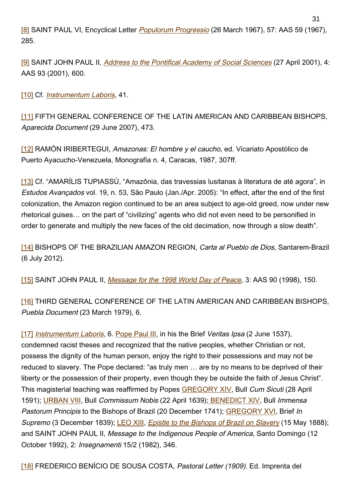[8] SAINT PAUL VI, Encyclical Letter *[Populorum Progressio](http://www.vatican.va/content/paul-vi/en/encyclicals/documents/hf_p-vi_enc_26031967_populorum.html)* (26 March 1967), 57: AAS 59 (1967), 285.

[9] SAINT JOHN PAUL II, [Address to the Pontifical Academy of Social Sciences](http://www.vatican.va/content/john-paul-ii/en/speeches/2001/april/documents/hf_jp-ii_spe_20010427_pc-social-sciences.html) (27 April 2001), 4: AAS 93 (2001), 600.

[10] Cf. *[Instrumentum Laboris](http://www.sinodoamazonico.va/content/sinodoamazonico/en/documents/pan-amazon-synod--the-working-document-for-the-synod-of-bishops.html)*, 41.

[11] FIFTH GENERAL CONFERENCE OF THE LATIN AMERICAN AND CARIBBEAN BISHOPS, Aparecida Document (29 June 2007), 473.

[12] RAMÓN IRIBERTEGUI, Amazonas: El hombre y el caucho, ed. Vicariato Apostólico de Puerto Ayacucho-Venezuela, Monografía n. 4, Caracas, 1987, 307ff.

[13] Cf. "AMARÍLIS TUPIASSÚ, "Amazônia, das travessias lusitanas à literatura de até agora", in Estudos Avançados vol. 19, n. 53, São Paulo (Jan./Apr. 2005): "In effect, after the end of the first colonization, the Amazon region continued to be an area subject to age-old greed, now under new rhetorical guises… on the part of "civilizing" agents who did not even need to be personified in order to generate and multiply the new faces of the old decimation, now through a slow death".

[14] BISHOPS OF THE BRAZILIAN AMAZON REGION, Carta al Pueblo de Dios, Santarem-Brazil (6 July 2012).

[15] SAINT JOHN PAUL II, *[Message for the 1998 World Day of Peace](http://www.vatican.va/content/john-paul-ii/en/messages/peace/documents/hf_jp-ii_mes_08121997_xxxi-world-day-for-peace.html)*, 3: AAS 90 (1998), 150.

[16] THIRD GENERAL CONFERENCE OF THE LATIN AMERICAN AND CARIBBEAN BISHOPS, Puebla Document (23 March 1979), 6.

[17] *[Instrumentum Laboris](http://www.sinodoamazonico.va/content/sinodoamazonico/en/documents/pan-amazon-synod--the-working-document-for-the-synod-of-bishops.html)*, 6. [Pope Paul III,](http://www.vatican.va/content/vatican/en/holy-father/paolo-iii.html) in his the Brief Veritas Ipsa (2 June 1537), condemned racist theses and recognized that the native peoples, whether Christian or not, possess the dignity of the human person, enjoy the right to their possessions and may not be reduced to slavery. The Pope declared: "as truly men … are by no means to be deprived of their liberty or the possession of their property, even though they be outside the faith of Jesus Christ". This magisterial teaching was reaffirmed by Popes **[GREGORY XIV](http://www.vatican.va/content/vatican/en/holy-father/gregorio-xiv.html)**, Bull Cum Sicuti (28 April 1591); [URBAN VIII,](http://www.vatican.va/content/vatican/en/holy-father/urbano-viii.html) Bull Commissum Nobis (22 April 1639); [BENEDICT XIV](http://www.vatican.va/content/benedictus-xiv/en.html), Bull Immensa Pastorum Principis to the Bishops of Brazil (20 December 1741); [GREGORY XVI,](http://www.vatican.va/content/gregorius-xvi/it.html) Brief In Supremo (3 December 1839); [LEO XIII](http://w2.vatican.va/content/leo-xiii/en.html), [Epistle to the Bishops of Brazil on Slavery](http://w2.vatican.va/content/leo-xiii/la/letters/documents/hf_l-xiii_let_18880505_in-plurimis.html) (15 May 1888); and SAINT JOHN PAUL II, Message to the Indigenous People of America, Santo Domingo (12 October 1992), 2: Insegnamenti 15/2 (1982), 346.

[18] FREDERICO BENÍCIO DE SOUSA COSTA, Pastoral Letter (1909). Ed. Imprenta del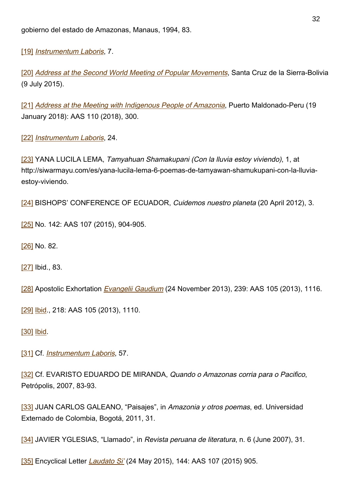gobierno del estado de Amazonas, Manaus, 1994, 83.

[19] *[Instrumentum Laboris](http://www.sinodoamazonico.va/content/sinodoamazonico/en/documents/pan-amazon-synod--the-working-document-for-the-synod-of-bishops.html)*, 7.

[20] [Address at the Second World Meeting of Popular Movements](http://www.vatican.va/content/francesco/en/speeches/2015/july/documents/papa-francesco_20150709_bolivia-movimenti-popolari.html), Santa Cruz de la Sierra-Bolivia (9 July 2015).

[21] [Address at the Meeting with Indigenous People of Amazonia](http://www.vatican.va/content/francesco/en/speeches/2018/january/documents/papa-francesco_20180119_peru-puertomaldonado-popoliamazzonia.html), Puerto Maldonado-Peru (19 January 2018): AAS 110 (2018), 300.

[22] *[Instrumentum Laboris](http://www.sinodoamazonico.va/content/sinodoamazonico/en/documents/pan-amazon-synod--the-working-document-for-the-synod-of-bishops.html)*, 24.

[23] YANA LUCILA LEMA, Tamyahuan Shamakupani (Con la lluvia estoy viviendo), 1, at http://siwarmayu.com/es/yana-lucila-lema-6-poemas-de-tamyawan-shamukupani-con-la-lluviaestoy-viviendo.

[24] BISHOPS' CONFERENCE OF ECUADOR, Cuidemos nuestro planeta (20 April 2012), 3.

[25] No. 142: AAS 107 (2015), 904-905.

[26] No. 82.

[27] Ibid., 83.

[28] Apostolic Exhortation *[Evangelii Gaudium](http://www.vatican.va/content/francesco/en/apost_exhortations/documents/papa-francesco_esortazione-ap_20131124_evangelii-gaudium.html#IV.Social_dialogue_as_a_contribution_to_peace)* (24 November 2013), 239: AAS 105 (2013), 1116.

[29] [Ibid.](http://www.vatican.va/content/francesco/en/apost_exhortations/documents/papa-francesco_esortazione-ap_20131124_evangelii-gaudium.html#III.The_common_good_and_peace_in_society), 218: AAS 105 (2013), 1110.

[30] [Ibid.](http://www.vatican.va/content/francesco/en/apost_exhortations/documents/papa-francesco_esortazione-ap_20131124_evangelii-gaudium.html#III.The_common_good_and_peace_in_society)

[31] Cf. [Instrumentum Laboris](http://www.sinodoamazonico.va/content/sinodoamazonico/en/documents/pan-amazon-synod--the-working-document-for-the-synod-of-bishops.html), 57.

[32] Cf. EVARISTO EDUARDO DE MIRANDA, Quando o Amazonas corria para o Pacifico, Petrópolis, 2007, 83-93.

[33] JUAN CARLOS GALEANO, "Paisajes", in Amazonia y otros poemas, ed. Universidad Externado de Colombia, Bogotá, 2011, 31.

[34] JAVIER YGLESIAS, "Llamado", in Revista peruana de literatura, n. 6 (June 2007), 31.

[35] Encyclical Letter *[Laudato Si'](http://www.vatican.va/content/francesco/en/encyclicals/documents/papa-francesco_20150524_enciclica-laudato-si.html#144)* (24 May 2015), 144: AAS 107 (2015) 905.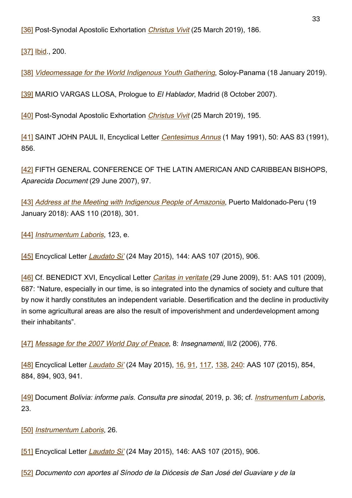[36] Post-Synodal Apostolic Exhortation [Christus Vivit](http://www.vatican.va/content/francesco/en/apost_exhortations/documents/papa-francesco_esortazione-ap_20190325_christus-vivit.html#186) (25 March 2019), 186.

[37] [Ibid.](http://www.vatican.va/content/francesco/en/apost_exhortations/documents/papa-francesco_esortazione-ap_20190325_christus-vivit.html#200), 200.

[38] [Videomessage for the World Indigenous Youth Gathering](http://www.vatican.va/content/francesco/en/messages/pont-messages/2019/documents/papa-francesco_20190118_videomessaggio-gioventuindigena-gmg.html), Soloy-Panama (18 January 2019).

[39] MARIO VARGAS LLOSA, Prologue to El Hablador, Madrid (8 October 2007).

[40] Post-Synodal Apostolic Exhortation *[Christus Vivit](http://www.vatican.va/content/francesco/en/apost_exhortations/documents/papa-francesco_esortazione-ap_20190325_christus-vivit.html#195)* (25 March 2019), 195.

[41] SAINT JOHN PAUL II, Encyclical Letter *[Centesimus Annus](http://www.vatican.va/content/john-paul-ii/en/encyclicals/documents/hf_jp-ii_enc_01051991_centesimus-annus.html)* (1 May 1991), 50: AAS 83 (1991), 856.

[42] FIFTH GENERAL CONFERENCE OF THE LATIN AMERICAN AND CARIBBEAN BISHOPS, Aparecida Document (29 June 2007), 97.

[43] [Address at the Meeting with Indigenous People of Amazonia](http://www.vatican.va/content/francesco/en/speeches/2018/january/documents/papa-francesco_20180119_peru-puertomaldonado-popoliamazzonia.html), Puerto Maldonado-Peru (19 January 2018): AAS 110 (2018), 301.

[44] *[Instrumentum Laboris](http://www.sinodoamazonico.va/content/sinodoamazonico/en/documents/pan-amazon-synod--the-working-document-for-the-synod-of-bishops.html)*, 123, e.

[45] Encyclical Letter *[Laudato Si'](http://www.vatican.va/content/francesco/en/encyclicals/documents/papa-francesco_20150524_enciclica-laudato-si.html#144)* (24 May 2015), 144: AAS 107 (2015), 906.

[46] Cf. BENEDICT XVI, Encyclical L[e](http://www.vatican.va/content/benedict-xvi/en/encyclicals/documents/hf_ben-xvi_enc_20090629_caritas-in-veritate.html)tter *Caritas in veritate* (29 June 2009), 51: AAS 101 (2009), 687: "Nature, especially in our time, is so integrated into the dynamics of society and culture that by now it hardly constitutes an independent variable. Desertification and the decline in productivity in some agricultural areas are also the result of impoverishment and underdevelopment among their inhabitants".

[47] [Message for the 2007 World Day of Peace](http://www.vatican.va/content/benedict-xvi/en/messages/peace/documents/hf_ben-xvi_mes_20061208_xl-world-day-peace.html), 8: Insegnamenti, II/2 (2006), 776.

[48] Encyclical Letter *[Laudato Si'](http://www.vatican.va/content/francesco/en/encyclicals/documents/papa-francesco_20150524_enciclica-laudato-si.html)* (24 May 2015), [16,](http://www.vatican.va/content/francesco/en/encyclicals/documents/papa-francesco_20150524_enciclica-laudato-si.html#16) [91,](http://www.vatican.va/content/francesco/en/encyclicals/documents/papa-francesco_20150524_enciclica-laudato-si.html#91) [117](http://www.vatican.va/content/francesco/en/encyclicals/documents/papa-francesco_20150524_enciclica-laudato-si.html#117), [138,](http://www.vatican.va/content/francesco/en/encyclicals/documents/papa-francesco_20150524_enciclica-laudato-si.html#138) [240:](http://www.vatican.va/content/francesco/en/encyclicals/documents/papa-francesco_20150524_enciclica-laudato-si.html#240) AAS 107 (2015), 854, 884, 894, 903, 941.

[49] Document Bolivia: informe país. Consulta pre sinodal, 2019, p. 36; cf. [Instrumentum Laboris](http://www.sinodoamazonico.va/content/sinodoamazonico/en/documents/pan-amazon-synod--the-working-document-for-the-synod-of-bishops.html), 23.

[50] [Instrumentum Laboris](http://www.sinodoamazonico.va/content/sinodoamazonico/en/documents/pan-amazon-synod--the-working-document-for-the-synod-of-bishops.html), 26.

[51] Encyclical Letter *[Laudato Si'](http://www.vatican.va/content/francesco/en/encyclicals/documents/papa-francesco_20150524_enciclica-laudato-si.html#146)* (24 May 2015), 146: AAS 107 (2015), 906.

[52] Documento con aportes al Sínodo de la Diócesis de San José del Guaviare y de la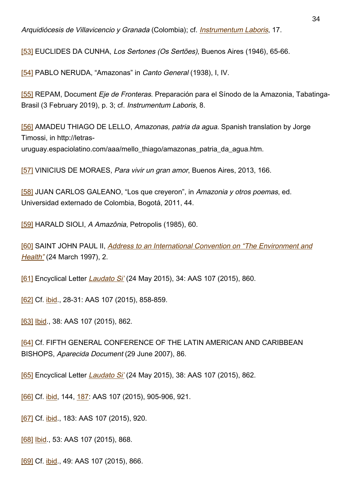Arquidiócesis de Villavicencio y Granada (Colombia); cf. [Instrumentum Laboris](http://www.sinodoamazonico.va/content/sinodoamazonico/en/documents/pan-amazon-synod--the-working-document-for-the-synod-of-bishops.html), 17.

[53] EUCLIDES DA CUNHA, Los Sertones (Os Sertões), Buenos Aires (1946), 65-66.

[54] PABLO NERUDA, "Amazonas" in Canto General (1938), I, IV.

[55] REPAM, Document Eje de Fronteras. Preparación para el Sínodo de la Amazonia, Tabatinga-Brasil (3 February 2019), p. 3; cf. Instrumentum Laboris, 8.

[56] AMADEU THIAGO DE LELLO, Amazonas, patria da agua. Spanish translation by Jorge Timossi, in http://letrasuruguay.espaciolatino.com/aaa/mello\_thiago/amazonas\_patria\_da\_agua.htm.

[57] VINICIUS DE MORAES, Para vivir un gran amor, Buenos Aires, 2013, 166.

[58] JUAN CARLOS GALEANO, "Los que creyeron", in Amazonia y otros poemas, ed. Universidad externado de Colombia, Bogotá, 2011, 44.

[59] HARALD SIOLI, A Amazônia, Petropolis (1985), 60.

[60] SAINT JOHN PAUL II, [Address to an International Convention on "The Environment and](http://www.vatican.va/content/john-paul-ii/en/speeches/1997/march/documents/hf_jp-ii_spe_19970324_ambiente-salute.html) [Health"](http://www.vatican.va/content/john-paul-ii/en/speeches/1997/march/documents/hf_jp-ii_spe_19970324_ambiente-salute.html) (24 March 1997), 2.

[61] Encyclical Letter [Laudato Si'](http://www.vatican.va/content/francesco/en/encyclicals/documents/papa-francesco_20150524_enciclica-laudato-si.html#34) (24 May 2015), 34: AAS 107 (2015), 860.

[62] Cf. *[ibid.](http://www.vatican.va/content/francesco/en/encyclicals/documents/papa-francesco_20150524_enciclica-laudato-si.html#28)*, 28-31: AAS 107 (2015), 858-859.

[63] [Ibid.](http://www.vatican.va/content/francesco/en/encyclicals/documents/papa-francesco_20150524_enciclica-laudato-si.html#38), 38: AAS 107 (2015), 862.

[64] Cf. FIFTH GENERAL CONFERENCE OF THE LATIN AMERICAN AND CARIBBEAN BISHOPS, Aparecida Document (29 June 2007), 86.

[65] Encyclical Letter *[Laudato Si'](http://www.vatican.va/content/francesco/en/encyclicals/documents/papa-francesco_20150524_enciclica-laudato-si.html#38)* (24 May 2015), 38: AAS 107 (2015), 862.

[66] Cf. [ibid,](http://www.vatican.va/content/francesco/en/encyclicals/documents/papa-francesco_20150524_enciclica-laudato-si.html#144) 144, [187:](http://www.vatican.va/content/francesco/en/encyclicals/documents/papa-francesco_20150524_enciclica-laudato-si.html#187) AAS 107 (2015), 905-906, 921.

[67] Cf. [ibid.](http://www.vatican.va/content/francesco/en/encyclicals/documents/papa-francesco_20150524_enciclica-laudato-si.html#183), 183: AAS 107 (2015), 920.

[68] [Ibid.](http://www.vatican.va/content/francesco/en/encyclicals/documents/papa-francesco_20150524_enciclica-laudato-si.html#53), 53: AAS 107 (2015), 868.

[69] Cf. [ibid.](http://www.vatican.va/content/francesco/en/encyclicals/documents/papa-francesco_20150524_enciclica-laudato-si.html#49), 49: AAS 107 (2015), 866.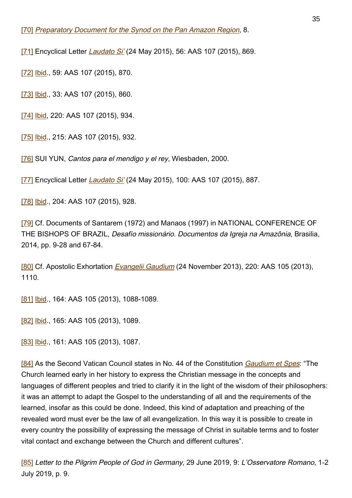[70] [Preparatory Document for the Synod on the Pan Amazon Region](http://www.sinodoamazonico.va/content/sinodoamazonico/en/documents/preparatory-document-for-the-synod-for-the-amazon.html), 8.

[71] Encyclical Letter *[Laudato Si'](http://www.vatican.va/content/francesco/en/encyclicals/documents/papa-francesco_20150524_enciclica-laudato-si.html#56)* (24 May 2015), 56: AAS 107 (2015), 869.

[72] [Ibid.](http://www.vatican.va/content/francesco/en/encyclicals/documents/papa-francesco_20150524_enciclica-laudato-si.html#59), 59: AAS 107 (2015), 870.

[73] [Ibid.](http://www.vatican.va/content/francesco/en/encyclicals/documents/papa-francesco_20150524_enciclica-laudato-si.html#33), 33: AAS 107 (2015), 860.

[74] [Ibid,](http://www.vatican.va/content/francesco/en/encyclicals/documents/papa-francesco_20150524_enciclica-laudato-si.html#220) 220: AAS 107 (2015), 934.

[75] [Ibid.](http://www.vatican.va/content/francesco/en/encyclicals/documents/papa-francesco_20150524_enciclica-laudato-si.html#215), 215: AAS 107 (2015), 932.

[76] SUI YUN, Cantos para el mendigo y el rey, Wiesbaden, 2000.

[77] Encyclical Letter *[Laudato Si'](http://www.vatican.va/content/francesco/en/encyclicals/documents/papa-francesco_20150524_enciclica-laudato-si.html#100)* (24 May 2015), 100: AAS 107 (2015), 887.

[78] [Ibid.](http://www.vatican.va/content/francesco/en/encyclicals/documents/papa-francesco_20150524_enciclica-laudato-si.html#204), 204: AAS 107 (2015), 928.

[79] Cf. Documents of Santarem (1972) and Manaos (1997) in NATIONAL CONFERENCE OF THE BISHOPS OF BRAZIL, Desafío missionário. Documentos da Igreja na Amazônia, Brasilia, 2014, pp. 9-28 and 67-84.

[80] Cf. Apostolic Exhortation *[Evangelii Gaudium](http://www.vatican.va/content/francesco/en/apost_exhortations/documents/papa-francesco_esortazione-ap_20131124_evangelii-gaudium.html#III.The_common_good_and_peace_in_society)* (24 November 2013), 220: AAS 105 (2013), 1110.

[81] [Ibid.](http://www.vatican.va/content/francesco/en/apost_exhortations/documents/papa-francesco_esortazione-ap_20131124_evangelii-gaudium.html#Kerygmatic_and_mystagogical_catechesis), 164: AAS 105 (2013), 1088-1089.

[82] [Ibid.](http://www.vatican.va/content/francesco/en/apost_exhortations/documents/papa-francesco_esortazione-ap_20131124_evangelii-gaudium.html#Kerygmatic_and_mystagogical_catechesis), 165: AAS 105 (2013), 1089.

[83] [Ibid.](http://www.vatican.va/content/francesco/en/apost_exhortations/documents/papa-francesco_esortazione-ap_20131124_evangelii-gaudium.html#IV.Evangelization_and_the_deeper_understanding_of_the_kerygma), 161: AAS 105 (2013), 1087.

[84] As the Second Vatican Council states in No. 44 of the Constitution *[Gaudium et Spes](http://www.vatican.va/archive/hist_councils/ii_vatican_council/documents/vat-ii_const_19651207_gaudium-et-spes_en.html)*: "The Church learned early in her history to express the Christian message in the concepts and languages of different peoples and tried to clarify it in the light of the wisdom of their philosophers: it was an attempt to adapt the Gospel to the understanding of all and the requirements of the learned, insofar as this could be done. Indeed, this kind of adaptation and preaching of the revealed word must ever be the law of all evangelization. In this way it is possible to create in every country the possibility of expressing the message of Christ in suitable terms and to foster vital contact and exchange between the Church and different cultures".

[85] Letter to the Pilgrim People of God in Germany, 29 June 2019, 9: L'Osservatore Romano, 1-2 July 2019, p. 9.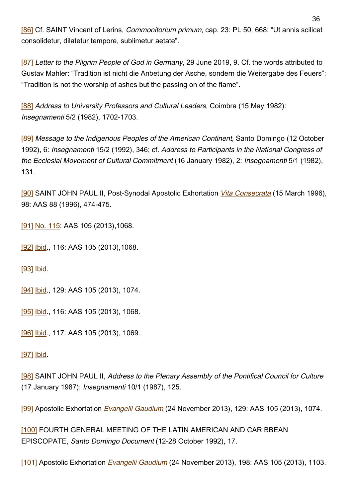[86] Cf. SAINT Vincent of Lerins, Commonitorium primum, cap. 23: PL 50, 668: "Ut annis scilicet consolidetur, dilatetur tempore, sublimetur aetate".

[87] Letter to the Pilgrim People of God in Germany, 29 June 2019, 9. Cf. the words attributed to Gustav Mahler: "Tradition ist nicht die Anbetung der Asche, sondern die Weitergabe des Feuers": "Tradition is not the worship of ashes but the passing on of the flame".

[88] Address to University Professors and Cultural Leaders, Coimbra (15 May 1982): Insegnamenti 5/2 (1982), 1702-1703.

[89] Message to the Indigenous Peoples of the American Continent, Santo Domingo (12 October 1992), 6: Insegnamenti 15/2 (1992), 346; cf. Address to Participants in the National Congress of the Ecclesial Movement of Cultural Commitment (16 January 1982), 2: Insegnamenti 5/1 (1982), 131.

[90] SAINT JOHN PAUL II, Post-Synodal Apostolic Exhortation [Vita Consecrata](http://www.vatican.va/content/john-paul-ii/en/apost_exhortations/documents/hf_jp-ii_exh_25031996_vita-consecrata.html) (15 March 1996), 98: AAS 88 (1996), 474-475.

[91] [No. 115](http://www.vatican.va/content/francesco/en/apost_exhortations/documents/papa-francesco_esortazione-ap_20131124_evangelii-gaudium.html#A_people_of_many_faces): AAS 105 (2013), 1068.

[92] [Ibid.](http://www.vatican.va/content/francesco/en/apost_exhortations/documents/papa-francesco_esortazione-ap_20131124_evangelii-gaudium.html#A_people_of_many_faces), 116: AAS 105 (2013),1068.

[93] **[Ibid.](http://www.vatican.va/content/francesco/en/apost_exhortations/documents/papa-francesco_esortazione-ap_20131124_evangelii-gaudium.html#A_people_of_many_faces)** 

[94] [Ibid.](http://www.vatican.va/content/francesco/en/apost_exhortations/documents/papa-francesco_esortazione-ap_20131124_evangelii-gaudium.html#Person_to_person), 129: AAS 105 (2013), 1074.

[95] [Ibid.](http://www.vatican.va/content/francesco/en/apost_exhortations/documents/papa-francesco_esortazione-ap_20131124_evangelii-gaudium.html#A_people_of_many_faces), 116: AAS 105 (2013), 1068.

[96] [Ibid.](http://www.vatican.va/content/francesco/en/apost_exhortations/documents/papa-francesco_esortazione-ap_20131124_evangelii-gaudium.html#A_people_of_many_faces), 117: AAS 105 (2013), 1069.

[97] [Ibid.](http://www.vatican.va/content/francesco/en/apost_exhortations/documents/papa-francesco_esortazione-ap_20131124_evangelii-gaudium.html#A_people_of_many_faces)

[98] SAINT JOHN PAUL II, Address to the Plenary Assembly of the Pontifical Council for Culture (17 January 1987): Insegnamenti 10/1 (1987), 125.

[99] Apostolic Exhortation [Evangelii Gaudium](http://www.vatican.va/content/francesco/en/apost_exhortations/documents/papa-francesco_esortazione-ap_20131124_evangelii-gaudium.html#Person_to_person) (24 November 2013), 129: AAS 105 (2013), 1074.

[100] FOURTH GENERAL MEETING OF THE LATIN AMERICAN AND CARIBBEAN EPISCOPATE, Santo Domingo Document (12-28 October 1992), 17.

[101] Apostolic Exhortation *[Evangelii Gaudium](http://www.vatican.va/content/francesco/en/apost_exhortations/documents/papa-francesco_esortazione-ap_20131124_evangelii-gaudium.html#The_special_place_of_the_poor_in_God�s_people)* (24 November 2013), 198: AAS 105 (2013), 1103.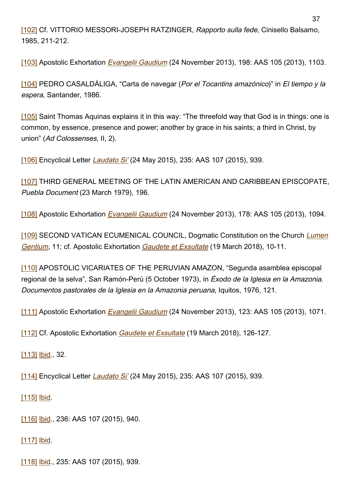[102] Cf. VITTORIO MESSORI-JOSEPH RATZINGER, Rapporto sulla fede, Cinisello Balsamo, 1985, 211-212.

[103] Apostolic Exhortation [Evangelii Gaudium](http://www.vatican.va/content/francesco/en/apost_exhortations/documents/papa-francesco_esortazione-ap_20131124_evangelii-gaudium.html#The_special_place_of_the_poor_in_God�s_people) (24 November 2013), 198: AAS 105 (2013), 1103.

[104] PEDRO CASALDÁLIGA, "Carta de navegar (Por el Tocantins amazónico)" in El tiempo y la espera, Santander, 1986.

[105] Saint Thomas Aquinas explains it in this way: "The threefold way that God is in things: one is common, by essence, presence and power; another by grace in his saints; a third in Christ, by union" (Ad Colossenses, II, 2).

[106] Encyclical Letter *[Laudato Si'](http://www.vatican.va/content/francesco/en/encyclicals/documents/papa-francesco_20150524_enciclica-laudato-si.html#235)* (24 May 2015), 235: AAS 107 (2015), 939.

[107] THIRD GENERAL MEETING OF THE LATIN AMERICAN AND CARIBBEAN EPISCOPATE, Puebla Document (23 March 1979), 196.

[108] Apostolic Exhortation *[Evangelii Gaudium](http://www.vatican.va/content/francesco/en/apost_exhortations/documents/papa-francesco_esortazione-ap_20131124_evangelii-gaudium.html#Confession_of_faith_and_commitment_to_society)* (24 November 2013), 178: AAS 105 (2013), 1094.

[109] SECOND VATICAN ECUMENICAL COUNCIL, Dogmatic Constitution on the Church [Lumen](http://www.vatican.va/archive/hist_councils/ii_vatican_council/documents/vat-ii_const_19641121_lumen-gentium_en.html) [Gentium](http://www.vatican.va/archive/hist_councils/ii_vatican_council/documents/vat-ii_const_19641121_lumen-gentium_en.html), 11; cf. Apostolic Exhortation [Gaudete et Exsultate](http://www.vatican.va/content/francesco/en/apost_exhortations/documents/papa-francesco_esortazione-ap_20180319_gaudete-et-exsultate.html#THE_LORD_CALLS) (19 March 2018), 10-11.

[110] APOSTOLIC VICARIATES OF THE PERUVIAN AMAZON, "Segunda asamblea episcopal regional de la selva", San Ramón-Perú (5 October 1973), in Éxodo de la Iglesia en la Amazonia. Documentos pastorales de la Iglesia en la Amazonia peruana, Iquitos, 1976, 121.

[111] Apostolic Exhortation [Evangelii Gaudium](http://www.vatican.va/content/francesco/en/apost_exhortations/documents/papa-francesco_esortazione-ap_20131124_evangelii-gaudium.html#The_evangelizing_power_of_popular_piety) (24 November 2013), 123: AAS 105 (2013), 1071.

[112] Cf. Apostolic Exhortation [Gaudete et Exsultate](http://www.vatican.va/content/francesco/en/apost_exhortations/documents/papa-francesco_esortazione-ap_20180319_gaudete-et-exsultate.html#JOY_AND_A_SENSE_OF_HUMOUR) (19 March 2018), 126-127.

[113] [Ibid](http://www.vatican.va/content/francesco/en/apost_exhortations/documents/papa-francesco_esortazione-ap_20180319_gaudete-et-exsultate.html#MORE_ALIVE,_MORE_HUMAN)., 32.

[114] Encyclical Letter [Laudato Si'](http://www.vatican.va/content/francesco/en/encyclicals/documents/papa-francesco_20150524_enciclica-laudato-si.html#235) (24 May 2015), 235: AAS 107 (2015), 939.

[115] [Ibid](http://www.vatican.va/content/francesco/en/encyclicals/documents/papa-francesco_20150524_enciclica-laudato-si.html#235).

[116] [Ibid](http://www.vatican.va/content/francesco/en/encyclicals/documents/papa-francesco_20150524_enciclica-laudato-si.html#236)., 236: AAS 107 (2015), 940.

[117] **[Ibid](http://www.vatican.va/content/francesco/en/encyclicals/documents/papa-francesco_20150524_enciclica-laudato-si.html#236).** 

[118] [Ibid](http://www.vatican.va/content/francesco/en/encyclicals/documents/papa-francesco_20150524_enciclica-laudato-si.html#235)., 235: AAS 107 (2015), 939.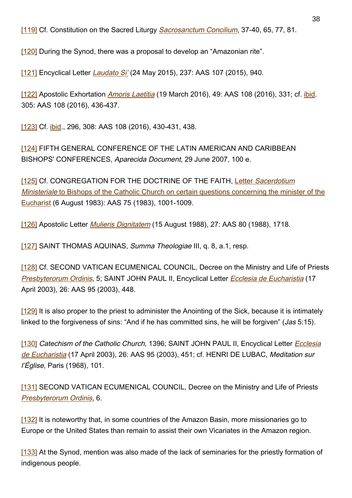[119] Cf. Constitution on the Sacred Liturgy [Sacrosanctum Concilium](http://www.vatican.va/archive/hist_councils/ii_vatican_council/documents/vat-ii_const_19631204_sacrosanctum-concilium_en.html), 37-40, 65, 77, 81.

[120] During the Synod, there was a proposal to develop an "Amazonian rite".

[121] Encyclical Letter *[Laudato Si'](http://www.vatican.va/content/francesco/en/encyclicals/documents/papa-francesco_20150524_enciclica-laudato-si.html#237)* (24 May 2015), 237: AAS 107 (2015), 940.

[122] Apostolic Exhortation [Amoris Laetitia](http://www.vatican.va/content/francesco/en/apost_exhortations/documents/papa-francesco_esortazione-ap_20160319_amoris-laetitia.html) (19 March 2016), 49: AAS 108 (2016), 331; cf. [ibid.](http://www.vatican.va/content/francesco/en/apost_exhortations/documents/papa-francesco_esortazione-ap_20160319_amoris-laetitia.html) 305: AAS 108 (2016), 436-437.

[123] Cf. [ibid](http://www.vatican.va/content/francesco/en/apost_exhortations/documents/papa-francesco_esortazione-ap_20160319_amoris-laetitia.html)., 296, 308: AAS 108 (2016), 430-431, 438.

[124] FIFTH GENERAL CONFERENCE OF THE LATIN AMERICAN AND CARIBBEAN BISHOPS' CONFERENCES, Aparecida Document, 29 June 2007, 100 e.

[125] Cf. CONGREGATION FOR THE DOCTRINE OF THE FAITH, [Letter](http://www.vatican.va/roman_curia/congregations/cfaith/documents/rc_con_cfaith_doc_19830806_sacerdotium-ministeriale_en.html) Sacerdotium Ministerial[e](http://www.vatican.va/roman_curia/congregations/cfaith/documents/rc_con_cfaith_doc_19830806_sacerdotium-ministeriale_en.html) [to Bishops of the Catholic Church on certain questions concerning the minister of the](http://www.vatican.va/roman_curia/congregations/cfaith/documents/rc_con_cfaith_doc_19830806_sacerdotium-ministeriale_en.html) [Eucharist](http://www.vatican.va/roman_curia/congregations/cfaith/documents/rc_con_cfaith_doc_19830806_sacerdotium-ministeriale_en.html) (6 August 1983): AAS 75 (1983), 1001-1009.

[126] Apostolic Letter *[Mulieris Dignitatem](http://w2.vatican.va/content/john-paul-ii/en/apost_letters/1988/documents/hf_jp-ii_apl_19880815_mulieris-dignitatem.html)* (15 August 1988), 27: AAS 80 (1988), 1718.

[127] SAINT THOMAS AQUINAS, Summa Theologiae III, q. 8, a.1, resp.

[128] Cf. SECOND VATICAN ECUMENICAL COUNCIL, Decree on the Ministry and Life of Priests [Presbyterorum Ordinis](http://www.vatican.va/archive/hist_councils/ii_vatican_council/documents/vat-ii_decree_19651207_presbyterorum-ordinis_en.html), 5; SAINT JOHN PAUL II, Encyclical Letter [Ecclesia de Eucharistia](http://www.vatican.va/content/john-paul-ii/en/encyclicals/documents/hf_jp-ii_enc_20030417_eccl-de-euch.html) (17 April 2003), 26: AAS 95 (2003), 448.

[129] It is also proper to the priest to administer the Anointing of the Sick, because it is intimately linked to the forgiveness of sins: "And if he has committed sins, he will be forgiven" (*Jas* 5:15).

[130] Catechism of the Catholic Church, 1396; SAINT JOHN PAUL II, Encyclical Letter [Ecclesia](http://w2.vatican.va/content/john-paul-ii/en/encyclicals/documents/hf_jp-ii_enc_20030417_eccl-de-euch.html) [de Eucharistia](http://w2.vatican.va/content/john-paul-ii/en/encyclicals/documents/hf_jp-ii_enc_20030417_eccl-de-euch.html) (17 April 2003), 26: AAS 95 (2003), 451; cf. HENRI DE LUBAC, Meditation sur l'Église, Paris (1968), 101.

[131] SECOND VATICAN ECUMENICAL COUNCIL, Decree on the Ministry and Life of Priests [Presbyterorum Ordinis](http://www.vatican.va/archive/hist_councils/ii_vatican_council/documents/vat-ii_decree_19651207_presbyterorum-ordinis_en.html), 6.

[132] It is noteworthy that, in some countries of the Amazon Basin, more missionaries go to Europe or the United States than remain to assist their own Vicariates in the Amazon region.

[133] At the Synod, mention was also made of the lack of seminaries for the priestly formation of indigenous people.